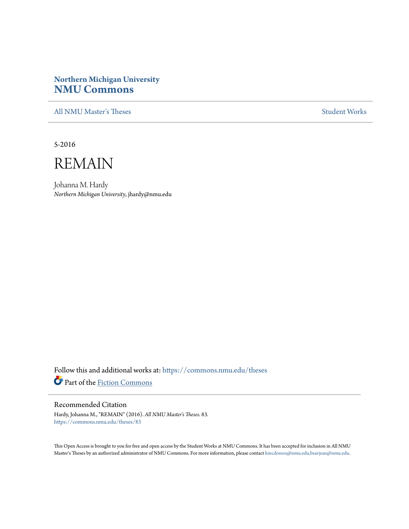# **Northern Michigan University [NMU Commons](https://commons.nmu.edu?utm_source=commons.nmu.edu%2Ftheses%2F83&utm_medium=PDF&utm_campaign=PDFCoverPages)**

[All NMU Master's Theses](https://commons.nmu.edu/theses?utm_source=commons.nmu.edu%2Ftheses%2F83&utm_medium=PDF&utm_campaign=PDFCoverPages) [Student Works](https://commons.nmu.edu/student_works?utm_source=commons.nmu.edu%2Ftheses%2F83&utm_medium=PDF&utm_campaign=PDFCoverPages)

5-2016



Johanna M. Hardy *Northern Michigan University*, jhardy@nmu.edu

Follow this and additional works at: [https://commons.nmu.edu/theses](https://commons.nmu.edu/theses?utm_source=commons.nmu.edu%2Ftheses%2F83&utm_medium=PDF&utm_campaign=PDFCoverPages) Part of the [Fiction Commons](http://network.bepress.com/hgg/discipline/1151?utm_source=commons.nmu.edu%2Ftheses%2F83&utm_medium=PDF&utm_campaign=PDFCoverPages)

#### Recommended Citation

Hardy, Johanna M., "REMAIN" (2016). *All NMU Master's Theses*. 83. [https://commons.nmu.edu/theses/83](https://commons.nmu.edu/theses/83?utm_source=commons.nmu.edu%2Ftheses%2F83&utm_medium=PDF&utm_campaign=PDFCoverPages)

This Open Access is brought to you for free and open access by the Student Works at NMU Commons. It has been accepted for inclusion in All NMU Master's Theses by an authorized administrator of NMU Commons. For more information, please contact [kmcdonou@nmu.edu,bsarjean@nmu.edu.](mailto:kmcdonou@nmu.edu,bsarjean@nmu.edu)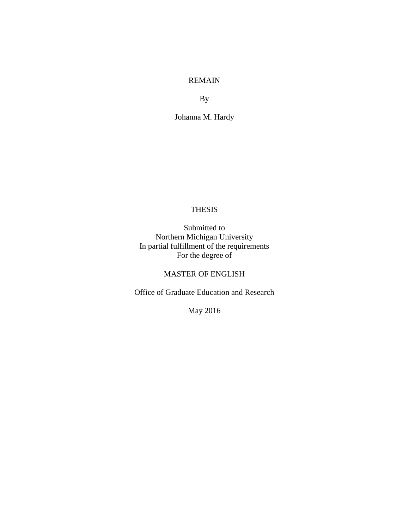#### REMAIN

By

Johanna M. Hardy

#### THESIS

Submitted to Northern Michigan University In partial fulfillment of the requirements For the degree of

## MASTER OF ENGLISH

Office of Graduate Education and Research

May 2016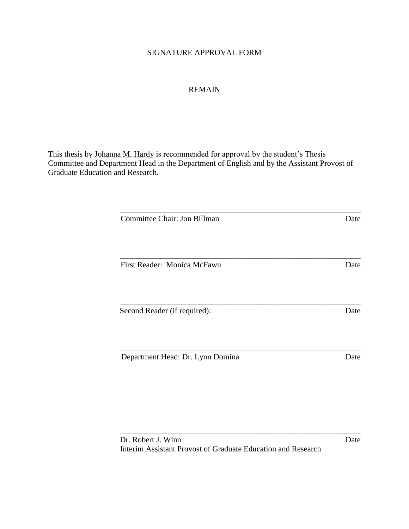## SIGNATURE APPROVAL FORM

## REMAIN

This thesis by Johanna M. Hardy is recommended for approval by the student's Thesis Committee and Department Head in the Department of **English** and by the Assistant Provost of Graduate Education and Research.

| Committee Chair: Jon Billman     | Date |
|----------------------------------|------|
| First Reader: Monica McFawn      | Date |
| Second Reader (if required):     | Date |
| Department Head: Dr. Lynn Domina | Date |

\_\_\_\_\_\_\_\_\_\_\_\_\_\_\_\_\_\_\_\_\_\_\_\_\_\_\_\_\_\_\_\_\_\_\_\_\_\_\_\_\_\_\_\_\_\_\_\_\_\_\_\_\_\_\_\_\_\_\_\_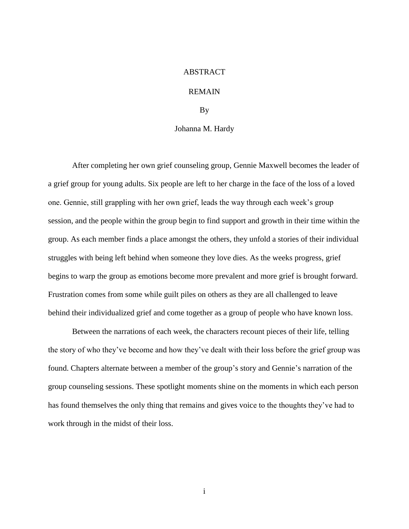#### ABSTRACT

#### REMAIN

By

#### Johanna M. Hardy

After completing her own grief counseling group, Gennie Maxwell becomes the leader of a grief group for young adults. Six people are left to her charge in the face of the loss of a loved one. Gennie, still grappling with her own grief, leads the way through each week's group session, and the people within the group begin to find support and growth in their time within the group. As each member finds a place amongst the others, they unfold a stories of their individual struggles with being left behind when someone they love dies. As the weeks progress, grief begins to warp the group as emotions become more prevalent and more grief is brought forward. Frustration comes from some while guilt piles on others as they are all challenged to leave behind their individualized grief and come together as a group of people who have known loss.

Between the narrations of each week, the characters recount pieces of their life, telling the story of who they've become and how they've dealt with their loss before the grief group was found. Chapters alternate between a member of the group's story and Gennie's narration of the group counseling sessions. These spotlight moments shine on the moments in which each person has found themselves the only thing that remains and gives voice to the thoughts they've had to work through in the midst of their loss.

i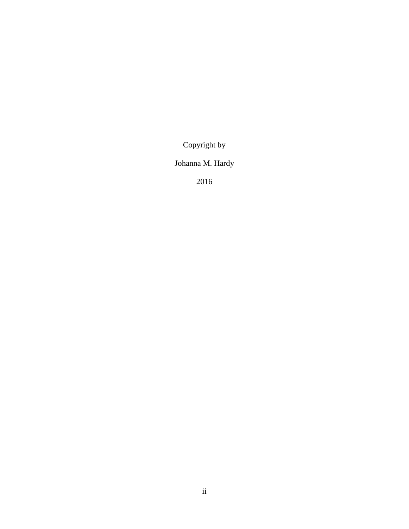Copyright by

# Johanna M. Hardy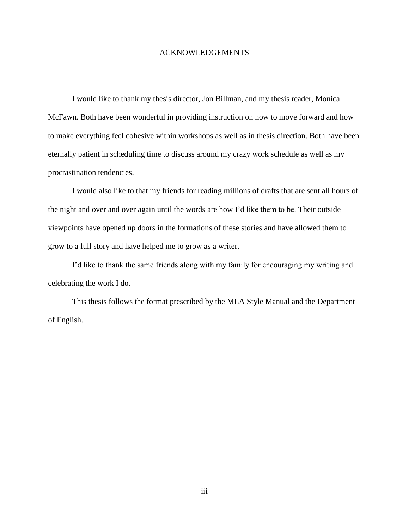#### ACKNOWLEDGEMENTS

I would like to thank my thesis director, Jon Billman, and my thesis reader, Monica McFawn. Both have been wonderful in providing instruction on how to move forward and how to make everything feel cohesive within workshops as well as in thesis direction. Both have been eternally patient in scheduling time to discuss around my crazy work schedule as well as my procrastination tendencies.

I would also like to that my friends for reading millions of drafts that are sent all hours of the night and over and over again until the words are how I'd like them to be. Their outside viewpoints have opened up doors in the formations of these stories and have allowed them to grow to a full story and have helped me to grow as a writer.

I'd like to thank the same friends along with my family for encouraging my writing and celebrating the work I do.

This thesis follows the format prescribed by the MLA Style Manual and the Department of English.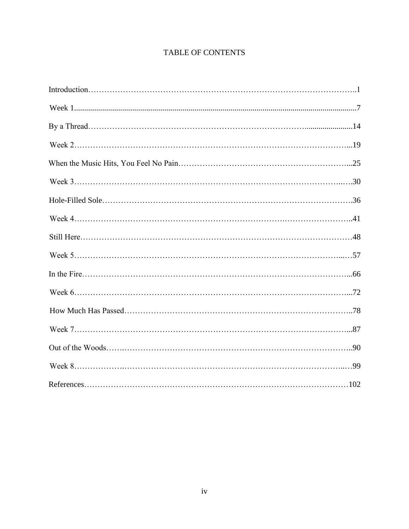# **TABLE OF CONTENTS**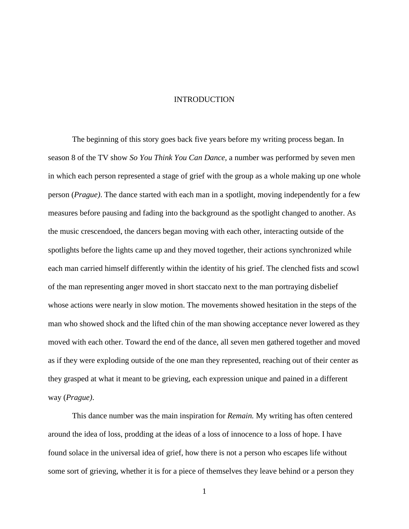#### INTRODUCTION

The beginning of this story goes back five years before my writing process began. In season 8 of the TV show *So You Think You Can Dance,* a number was performed by seven men in which each person represented a stage of grief with the group as a whole making up one whole person (*Prague)*. The dance started with each man in a spotlight, moving independently for a few measures before pausing and fading into the background as the spotlight changed to another. As the music crescendoed, the dancers began moving with each other, interacting outside of the spotlights before the lights came up and they moved together, their actions synchronized while each man carried himself differently within the identity of his grief. The clenched fists and scowl of the man representing anger moved in short staccato next to the man portraying disbelief whose actions were nearly in slow motion. The movements showed hesitation in the steps of the man who showed shock and the lifted chin of the man showing acceptance never lowered as they moved with each other. Toward the end of the dance, all seven men gathered together and moved as if they were exploding outside of the one man they represented, reaching out of their center as they grasped at what it meant to be grieving, each expression unique and pained in a different way (*Prague)*.

This dance number was the main inspiration for *Remain.* My writing has often centered around the idea of loss, prodding at the ideas of a loss of innocence to a loss of hope. I have found solace in the universal idea of grief, how there is not a person who escapes life without some sort of grieving, whether it is for a piece of themselves they leave behind or a person they

<sup>1</sup>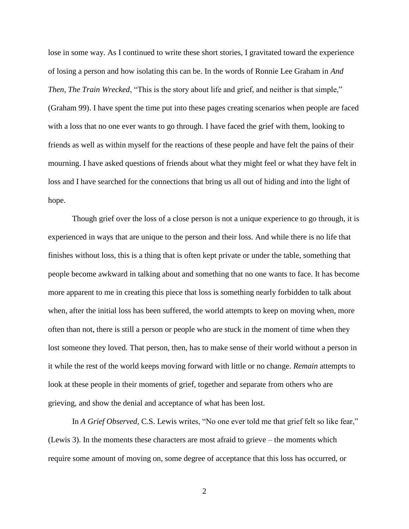lose in some way. As I continued to write these short stories, I gravitated toward the experience of losing a person and how isolating this can be. In the words of Ronnie Lee Graham in *And Then, The Train Wrecked*, "This is the story about life and grief, and neither is that simple," (Graham 99). I have spent the time put into these pages creating scenarios when people are faced with a loss that no one ever wants to go through. I have faced the grief with them, looking to friends as well as within myself for the reactions of these people and have felt the pains of their mourning. I have asked questions of friends about what they might feel or what they have felt in loss and I have searched for the connections that bring us all out of hiding and into the light of hope.

Though grief over the loss of a close person is not a unique experience to go through, it is experienced in ways that are unique to the person and their loss. And while there is no life that finishes without loss, this is a thing that is often kept private or under the table, something that people become awkward in talking about and something that no one wants to face. It has become more apparent to me in creating this piece that loss is something nearly forbidden to talk about when, after the initial loss has been suffered, the world attempts to keep on moving when, more often than not, there is still a person or people who are stuck in the moment of time when they lost someone they loved. That person, then, has to make sense of their world without a person in it while the rest of the world keeps moving forward with little or no change. *Remain* attempts to look at these people in their moments of grief, together and separate from others who are grieving, and show the denial and acceptance of what has been lost.

In *A Grief Observed,* C.S. Lewis writes, "No one ever told me that grief felt so like fear," (Lewis 3). In the moments these characters are most afraid to grieve – the moments which require some amount of moving on, some degree of acceptance that this loss has occurred, or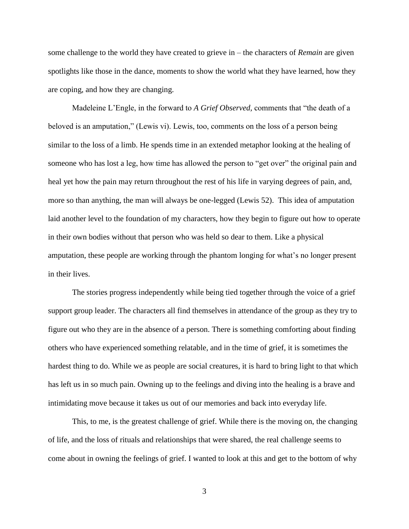some challenge to the world they have created to grieve in – the characters of *Remain* are given spotlights like those in the dance, moments to show the world what they have learned, how they are coping, and how they are changing.

Madeleine L'Engle, in the forward to *A Grief Observed,* comments that "the death of a beloved is an amputation," (Lewis vi). Lewis, too, comments on the loss of a person being similar to the loss of a limb. He spends time in an extended metaphor looking at the healing of someone who has lost a leg, how time has allowed the person to "get over" the original pain and heal yet how the pain may return throughout the rest of his life in varying degrees of pain, and, more so than anything, the man will always be one-legged (Lewis 52). This idea of amputation laid another level to the foundation of my characters, how they begin to figure out how to operate in their own bodies without that person who was held so dear to them. Like a physical amputation, these people are working through the phantom longing for what's no longer present in their lives.

The stories progress independently while being tied together through the voice of a grief support group leader. The characters all find themselves in attendance of the group as they try to figure out who they are in the absence of a person. There is something comforting about finding others who have experienced something relatable, and in the time of grief, it is sometimes the hardest thing to do. While we as people are social creatures, it is hard to bring light to that which has left us in so much pain. Owning up to the feelings and diving into the healing is a brave and intimidating move because it takes us out of our memories and back into everyday life.

This, to me, is the greatest challenge of grief. While there is the moving on, the changing of life, and the loss of rituals and relationships that were shared, the real challenge seems to come about in owning the feelings of grief. I wanted to look at this and get to the bottom of why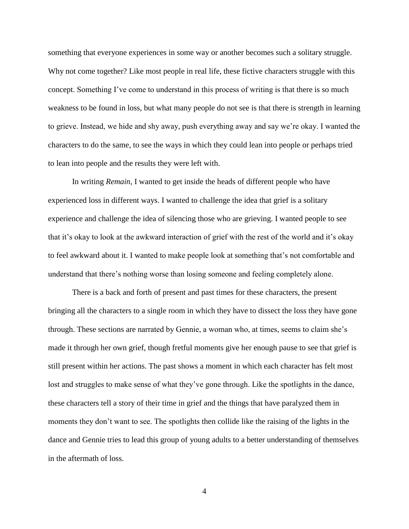something that everyone experiences in some way or another becomes such a solitary struggle. Why not come together? Like most people in real life, these fictive characters struggle with this concept. Something I've come to understand in this process of writing is that there is so much weakness to be found in loss, but what many people do not see is that there is strength in learning to grieve. Instead, we hide and shy away, push everything away and say we're okay. I wanted the characters to do the same, to see the ways in which they could lean into people or perhaps tried to lean into people and the results they were left with.

In writing *Remain,* I wanted to get inside the heads of different people who have experienced loss in different ways. I wanted to challenge the idea that grief is a solitary experience and challenge the idea of silencing those who are grieving. I wanted people to see that it's okay to look at the awkward interaction of grief with the rest of the world and it's okay to feel awkward about it. I wanted to make people look at something that's not comfortable and understand that there's nothing worse than losing someone and feeling completely alone.

There is a back and forth of present and past times for these characters, the present bringing all the characters to a single room in which they have to dissect the loss they have gone through. These sections are narrated by Gennie, a woman who, at times, seems to claim she's made it through her own grief, though fretful moments give her enough pause to see that grief is still present within her actions. The past shows a moment in which each character has felt most lost and struggles to make sense of what they've gone through. Like the spotlights in the dance, these characters tell a story of their time in grief and the things that have paralyzed them in moments they don't want to see. The spotlights then collide like the raising of the lights in the dance and Gennie tries to lead this group of young adults to a better understanding of themselves in the aftermath of loss.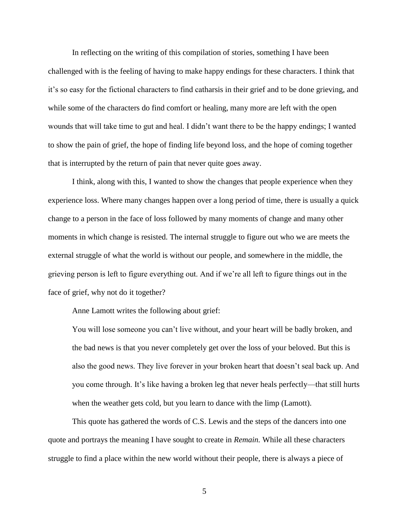In reflecting on the writing of this compilation of stories, something I have been challenged with is the feeling of having to make happy endings for these characters. I think that it's so easy for the fictional characters to find catharsis in their grief and to be done grieving, and while some of the characters do find comfort or healing, many more are left with the open wounds that will take time to gut and heal. I didn't want there to be the happy endings; I wanted to show the pain of grief, the hope of finding life beyond loss, and the hope of coming together that is interrupted by the return of pain that never quite goes away.

I think, along with this, I wanted to show the changes that people experience when they experience loss. Where many changes happen over a long period of time, there is usually a quick change to a person in the face of loss followed by many moments of change and many other moments in which change is resisted. The internal struggle to figure out who we are meets the external struggle of what the world is without our people, and somewhere in the middle, the grieving person is left to figure everything out. And if we're all left to figure things out in the face of grief, why not do it together?

Anne Lamott writes the following about grief:

You will lose someone you can't live without, and your heart will be badly broken, and the bad news is that you never completely get over the loss of your beloved. But this is also the good news. They live forever in your broken heart that doesn't seal back up. And you come through. It's like having a broken leg that never heals perfectly—that still hurts when the weather gets cold, but you learn to dance with the limp (Lamott).

This quote has gathered the words of C.S. Lewis and the steps of the dancers into one quote and portrays the meaning I have sought to create in *Remain.* While all these characters struggle to find a place within the new world without their people, there is always a piece of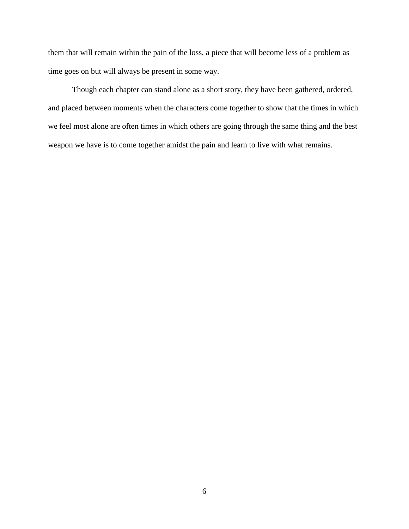them that will remain within the pain of the loss, a piece that will become less of a problem as time goes on but will always be present in some way.

Though each chapter can stand alone as a short story, they have been gathered, ordered, and placed between moments when the characters come together to show that the times in which we feel most alone are often times in which others are going through the same thing and the best weapon we have is to come together amidst the pain and learn to live with what remains.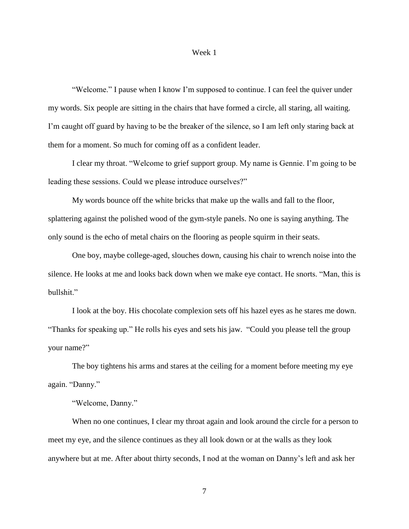#### Week 1

"Welcome." I pause when I know I'm supposed to continue. I can feel the quiver under my words. Six people are sitting in the chairs that have formed a circle, all staring, all waiting. I'm caught off guard by having to be the breaker of the silence, so I am left only staring back at them for a moment. So much for coming off as a confident leader.

I clear my throat. "Welcome to grief support group. My name is Gennie. I'm going to be leading these sessions. Could we please introduce ourselves?"

My words bounce off the white bricks that make up the walls and fall to the floor, splattering against the polished wood of the gym-style panels. No one is saying anything. The only sound is the echo of metal chairs on the flooring as people squirm in their seats.

One boy, maybe college-aged, slouches down, causing his chair to wrench noise into the silence. He looks at me and looks back down when we make eye contact. He snorts. "Man, this is bullshit."

I look at the boy. His chocolate complexion sets off his hazel eyes as he stares me down. "Thanks for speaking up." He rolls his eyes and sets his jaw. "Could you please tell the group your name?"

The boy tightens his arms and stares at the ceiling for a moment before meeting my eye again. "Danny."

"Welcome, Danny."

When no one continues, I clear my throat again and look around the circle for a person to meet my eye, and the silence continues as they all look down or at the walls as they look anywhere but at me. After about thirty seconds, I nod at the woman on Danny's left and ask her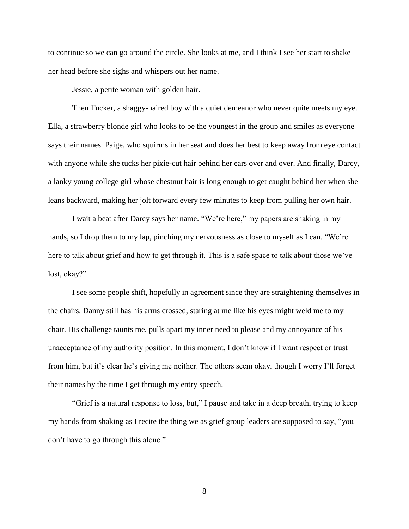to continue so we can go around the circle. She looks at me, and I think I see her start to shake her head before she sighs and whispers out her name.

Jessie, a petite woman with golden hair.

Then Tucker, a shaggy-haired boy with a quiet demeanor who never quite meets my eye. Ella, a strawberry blonde girl who looks to be the youngest in the group and smiles as everyone says their names. Paige, who squirms in her seat and does her best to keep away from eye contact with anyone while she tucks her pixie-cut hair behind her ears over and over. And finally, Darcy, a lanky young college girl whose chestnut hair is long enough to get caught behind her when she leans backward, making her jolt forward every few minutes to keep from pulling her own hair.

I wait a beat after Darcy says her name. "We're here," my papers are shaking in my hands, so I drop them to my lap, pinching my nervousness as close to myself as I can. "We're here to talk about grief and how to get through it. This is a safe space to talk about those we've lost, okay?"

I see some people shift, hopefully in agreement since they are straightening themselves in the chairs. Danny still has his arms crossed, staring at me like his eyes might weld me to my chair. His challenge taunts me, pulls apart my inner need to please and my annoyance of his unacceptance of my authority position. In this moment, I don't know if I want respect or trust from him, but it's clear he's giving me neither. The others seem okay, though I worry I'll forget their names by the time I get through my entry speech.

"Grief is a natural response to loss, but," I pause and take in a deep breath, trying to keep my hands from shaking as I recite the thing we as grief group leaders are supposed to say, "you don't have to go through this alone."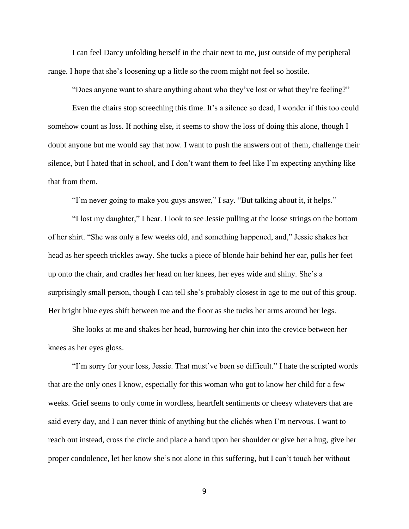I can feel Darcy unfolding herself in the chair next to me, just outside of my peripheral range. I hope that she's loosening up a little so the room might not feel so hostile.

"Does anyone want to share anything about who they've lost or what they're feeling?"

Even the chairs stop screeching this time. It's a silence so dead, I wonder if this too could somehow count as loss. If nothing else, it seems to show the loss of doing this alone, though I doubt anyone but me would say that now. I want to push the answers out of them, challenge their silence, but I hated that in school, and I don't want them to feel like I'm expecting anything like that from them.

"I'm never going to make you guys answer," I say. "But talking about it, it helps."

"I lost my daughter," I hear. I look to see Jessie pulling at the loose strings on the bottom of her shirt. "She was only a few weeks old, and something happened, and," Jessie shakes her head as her speech trickles away. She tucks a piece of blonde hair behind her ear, pulls her feet up onto the chair, and cradles her head on her knees, her eyes wide and shiny. She's a surprisingly small person, though I can tell she's probably closest in age to me out of this group. Her bright blue eyes shift between me and the floor as she tucks her arms around her legs.

She looks at me and shakes her head, burrowing her chin into the crevice between her knees as her eyes gloss.

"I'm sorry for your loss, Jessie. That must've been so difficult." I hate the scripted words that are the only ones I know, especially for this woman who got to know her child for a few weeks. Grief seems to only come in wordless, heartfelt sentiments or cheesy whatevers that are said every day, and I can never think of anything but the clichés when I'm nervous. I want to reach out instead, cross the circle and place a hand upon her shoulder or give her a hug, give her proper condolence, let her know she's not alone in this suffering, but I can't touch her without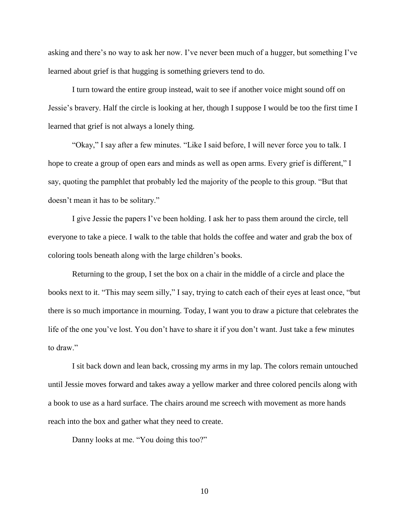asking and there's no way to ask her now. I've never been much of a hugger, but something I've learned about grief is that hugging is something grievers tend to do.

I turn toward the entire group instead, wait to see if another voice might sound off on Jessie's bravery. Half the circle is looking at her, though I suppose I would be too the first time I learned that grief is not always a lonely thing.

"Okay," I say after a few minutes. "Like I said before, I will never force you to talk. I hope to create a group of open ears and minds as well as open arms. Every grief is different," I say, quoting the pamphlet that probably led the majority of the people to this group. "But that doesn't mean it has to be solitary."

I give Jessie the papers I've been holding. I ask her to pass them around the circle, tell everyone to take a piece. I walk to the table that holds the coffee and water and grab the box of coloring tools beneath along with the large children's books.

Returning to the group, I set the box on a chair in the middle of a circle and place the books next to it. "This may seem silly," I say, trying to catch each of their eyes at least once, "but there is so much importance in mourning. Today, I want you to draw a picture that celebrates the life of the one you've lost. You don't have to share it if you don't want. Just take a few minutes to draw."

I sit back down and lean back, crossing my arms in my lap. The colors remain untouched until Jessie moves forward and takes away a yellow marker and three colored pencils along with a book to use as a hard surface. The chairs around me screech with movement as more hands reach into the box and gather what they need to create.

Danny looks at me. "You doing this too?"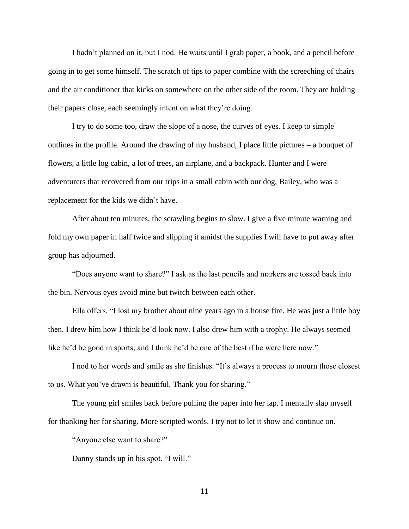I hadn't planned on it, but I nod. He waits until I grab paper, a book, and a pencil before going in to get some himself. The scratch of tips to paper combine with the screeching of chairs and the air conditioner that kicks on somewhere on the other side of the room. They are holding their papers close, each seemingly intent on what they're doing.

I try to do some too, draw the slope of a nose, the curves of eyes. I keep to simple outlines in the profile. Around the drawing of my husband, I place little pictures  $-$  a bouquet of flowers, a little log cabin, a lot of trees, an airplane, and a backpack. Hunter and I were adventurers that recovered from our trips in a small cabin with our dog, Bailey, who was a replacement for the kids we didn't have.

After about ten minutes, the scrawling begins to slow. I give a five minute warning and fold my own paper in half twice and slipping it amidst the supplies I will have to put away after group has adjourned.

"Does anyone want to share?" I ask as the last pencils and markers are tossed back into the bin. Nervous eyes avoid mine but twitch between each other.

Ella offers. "I lost my brother about nine years ago in a house fire. He was just a little boy then. I drew him how I think he'd look now. I also drew him with a trophy. He always seemed like he'd be good in sports, and I think he'd be one of the best if he were here now."

I nod to her words and smile as she finishes. "It's always a process to mourn those closest to us. What you've drawn is beautiful. Thank you for sharing."

The young girl smiles back before pulling the paper into her lap. I mentally slap myself for thanking her for sharing. More scripted words. I try not to let it show and continue on.

"Anyone else want to share?"

Danny stands up in his spot. "I will."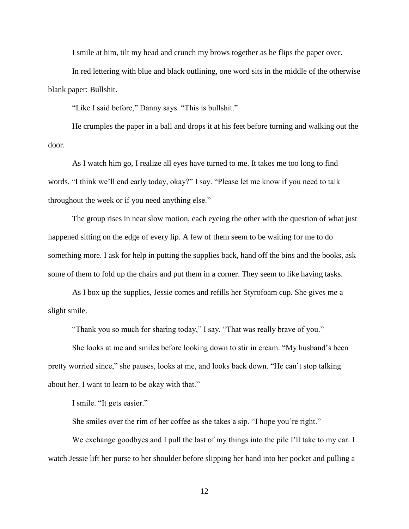I smile at him, tilt my head and crunch my brows together as he flips the paper over.

In red lettering with blue and black outlining, one word sits in the middle of the otherwise blank paper: Bullshit.

"Like I said before," Danny says. "This is bullshit."

He crumples the paper in a ball and drops it at his feet before turning and walking out the door.

As I watch him go, I realize all eyes have turned to me. It takes me too long to find words. "I think we'll end early today, okay?" I say. "Please let me know if you need to talk throughout the week or if you need anything else."

The group rises in near slow motion, each eyeing the other with the question of what just happened sitting on the edge of every lip. A few of them seem to be waiting for me to do something more. I ask for help in putting the supplies back, hand off the bins and the books, ask some of them to fold up the chairs and put them in a corner. They seem to like having tasks.

As I box up the supplies, Jessie comes and refills her Styrofoam cup. She gives me a slight smile.

"Thank you so much for sharing today," I say. "That was really brave of you."

She looks at me and smiles before looking down to stir in cream. "My husband's been pretty worried since," she pauses, looks at me, and looks back down. "He can't stop talking about her. I want to learn to be okay with that."

I smile. "It gets easier."

She smiles over the rim of her coffee as she takes a sip. "I hope you're right."

We exchange goodbyes and I pull the last of my things into the pile I'll take to my car. I watch Jessie lift her purse to her shoulder before slipping her hand into her pocket and pulling a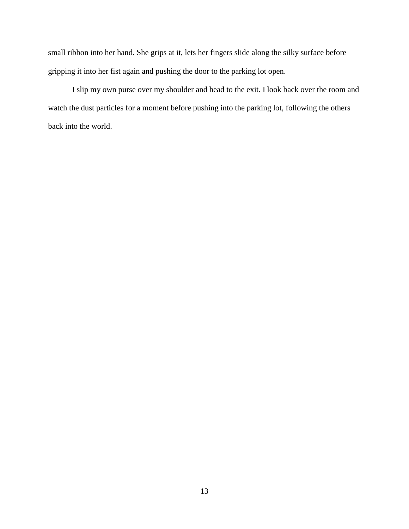small ribbon into her hand. She grips at it, lets her fingers slide along the silky surface before gripping it into her fist again and pushing the door to the parking lot open.

I slip my own purse over my shoulder and head to the exit. I look back over the room and watch the dust particles for a moment before pushing into the parking lot, following the others back into the world.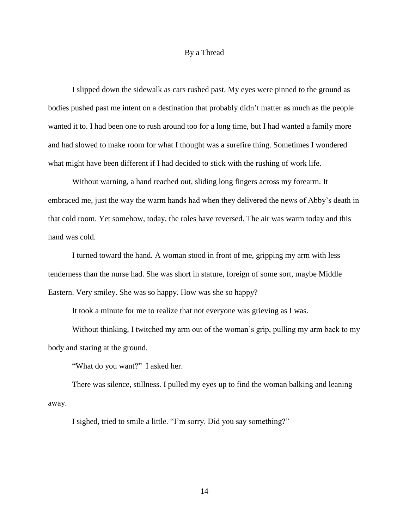#### By a Thread

I slipped down the sidewalk as cars rushed past. My eyes were pinned to the ground as bodies pushed past me intent on a destination that probably didn't matter as much as the people wanted it to. I had been one to rush around too for a long time, but I had wanted a family more and had slowed to make room for what I thought was a surefire thing. Sometimes I wondered what might have been different if I had decided to stick with the rushing of work life.

Without warning, a hand reached out, sliding long fingers across my forearm. It embraced me, just the way the warm hands had when they delivered the news of Abby's death in that cold room. Yet somehow, today, the roles have reversed. The air was warm today and this hand was cold.

I turned toward the hand. A woman stood in front of me, gripping my arm with less tenderness than the nurse had. She was short in stature, foreign of some sort, maybe Middle Eastern. Very smiley. She was so happy. How was she so happy?

It took a minute for me to realize that not everyone was grieving as I was.

Without thinking, I twitched my arm out of the woman's grip, pulling my arm back to my body and staring at the ground.

"What do you want?" I asked her.

There was silence, stillness. I pulled my eyes up to find the woman balking and leaning away.

I sighed, tried to smile a little. "I'm sorry. Did you say something?"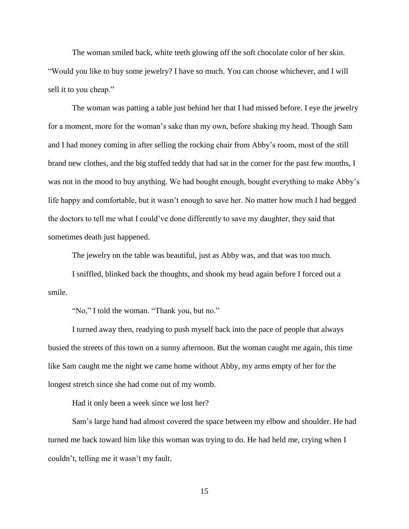The woman smiled back, white teeth glowing off the soft chocolate color of her skin. "Would you like to buy some jewelry? I have so much. You can choose whichever, and I will sell it to you cheap."

The woman was patting a table just behind her that I had missed before. I eye the jewelry for a moment, more for the woman's sake than my own, before shaking my head. Though Sam and I had money coming in after selling the rocking chair from Abby's room, most of the still brand new clothes, and the big stuffed teddy that had sat in the corner for the past few months, I was not in the mood to buy anything. We had bought enough, bought everything to make Abby's life happy and comfortable, but it wasn't enough to save her. No matter how much I had begged the doctors to tell me what I could've done differently to save my daughter, they said that sometimes death just happened.

The jewelry on the table was beautiful, just as Abby was, and that was too much.

I sniffled, blinked back the thoughts, and shook my head again before I forced out a smile.

"No," I told the woman. "Thank you, but no."

I turned away then, readying to push myself back into the pace of people that always busied the streets of this town on a sunny afternoon. But the woman caught me again, this time like Sam caught me the night we came home without Abby, my arms empty of her for the longest stretch since she had come out of my womb.

Had it only been a week since we lost her?

Sam's large hand had almost covered the space between my elbow and shoulder. He had turned me back toward him like this woman was trying to do. He had held me, crying when I couldn't, telling me it wasn't my fault.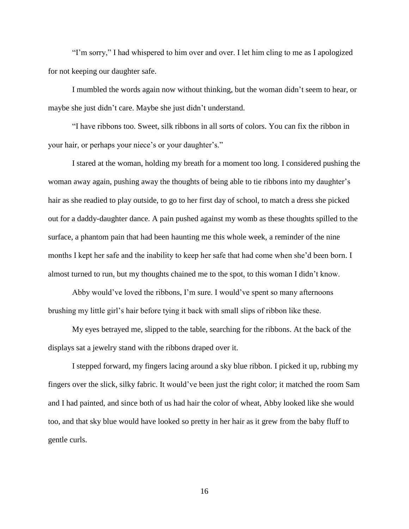"I'm sorry," I had whispered to him over and over. I let him cling to me as I apologized for not keeping our daughter safe.

I mumbled the words again now without thinking, but the woman didn't seem to hear, or maybe she just didn't care. Maybe she just didn't understand.

"I have ribbons too. Sweet, silk ribbons in all sorts of colors. You can fix the ribbon in your hair, or perhaps your niece's or your daughter's."

I stared at the woman, holding my breath for a moment too long. I considered pushing the woman away again, pushing away the thoughts of being able to tie ribbons into my daughter's hair as she readied to play outside, to go to her first day of school, to match a dress she picked out for a daddy-daughter dance. A pain pushed against my womb as these thoughts spilled to the surface, a phantom pain that had been haunting me this whole week, a reminder of the nine months I kept her safe and the inability to keep her safe that had come when she'd been born. I almost turned to run, but my thoughts chained me to the spot, to this woman I didn't know.

Abby would've loved the ribbons, I'm sure. I would've spent so many afternoons brushing my little girl's hair before tying it back with small slips of ribbon like these.

My eyes betrayed me, slipped to the table, searching for the ribbons. At the back of the displays sat a jewelry stand with the ribbons draped over it.

I stepped forward, my fingers lacing around a sky blue ribbon. I picked it up, rubbing my fingers over the slick, silky fabric. It would've been just the right color; it matched the room Sam and I had painted, and since both of us had hair the color of wheat, Abby looked like she would too, and that sky blue would have looked so pretty in her hair as it grew from the baby fluff to gentle curls.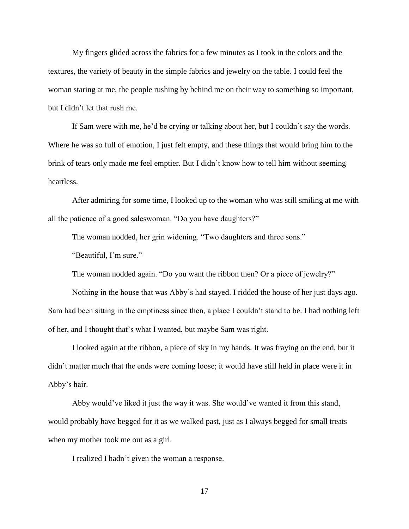My fingers glided across the fabrics for a few minutes as I took in the colors and the textures, the variety of beauty in the simple fabrics and jewelry on the table. I could feel the woman staring at me, the people rushing by behind me on their way to something so important, but I didn't let that rush me.

If Sam were with me, he'd be crying or talking about her, but I couldn't say the words. Where he was so full of emotion, I just felt empty, and these things that would bring him to the brink of tears only made me feel emptier. But I didn't know how to tell him without seeming heartless.

After admiring for some time, I looked up to the woman who was still smiling at me with all the patience of a good saleswoman. "Do you have daughters?"

The woman nodded, her grin widening. "Two daughters and three sons."

"Beautiful, I'm sure."

The woman nodded again. "Do you want the ribbon then? Or a piece of jewelry?"

Nothing in the house that was Abby's had stayed. I ridded the house of her just days ago. Sam had been sitting in the emptiness since then, a place I couldn't stand to be. I had nothing left of her, and I thought that's what I wanted, but maybe Sam was right.

I looked again at the ribbon, a piece of sky in my hands. It was fraying on the end, but it didn't matter much that the ends were coming loose; it would have still held in place were it in Abby's hair.

Abby would've liked it just the way it was. She would've wanted it from this stand, would probably have begged for it as we walked past, just as I always begged for small treats when my mother took me out as a girl.

I realized I hadn't given the woman a response.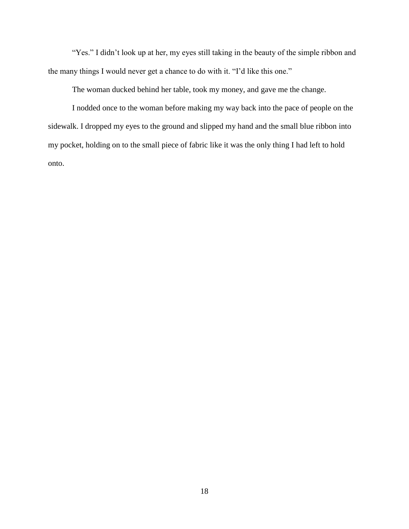"Yes." I didn't look up at her, my eyes still taking in the beauty of the simple ribbon and the many things I would never get a chance to do with it. "I'd like this one."

The woman ducked behind her table, took my money, and gave me the change.

I nodded once to the woman before making my way back into the pace of people on the sidewalk. I dropped my eyes to the ground and slipped my hand and the small blue ribbon into my pocket, holding on to the small piece of fabric like it was the only thing I had left to hold onto.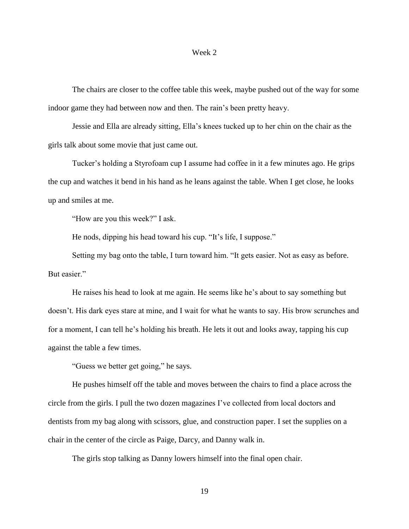#### Week 2

The chairs are closer to the coffee table this week, maybe pushed out of the way for some indoor game they had between now and then. The rain's been pretty heavy.

Jessie and Ella are already sitting, Ella's knees tucked up to her chin on the chair as the girls talk about some movie that just came out.

Tucker's holding a Styrofoam cup I assume had coffee in it a few minutes ago. He grips the cup and watches it bend in his hand as he leans against the table. When I get close, he looks up and smiles at me.

"How are you this week?" I ask.

He nods, dipping his head toward his cup. "It's life, I suppose."

Setting my bag onto the table, I turn toward him. "It gets easier. Not as easy as before. But easier."

He raises his head to look at me again. He seems like he's about to say something but doesn't. His dark eyes stare at mine, and I wait for what he wants to say. His brow scrunches and for a moment, I can tell he's holding his breath. He lets it out and looks away, tapping his cup against the table a few times.

"Guess we better get going," he says.

He pushes himself off the table and moves between the chairs to find a place across the circle from the girls. I pull the two dozen magazines I've collected from local doctors and dentists from my bag along with scissors, glue, and construction paper. I set the supplies on a chair in the center of the circle as Paige, Darcy, and Danny walk in.

The girls stop talking as Danny lowers himself into the final open chair.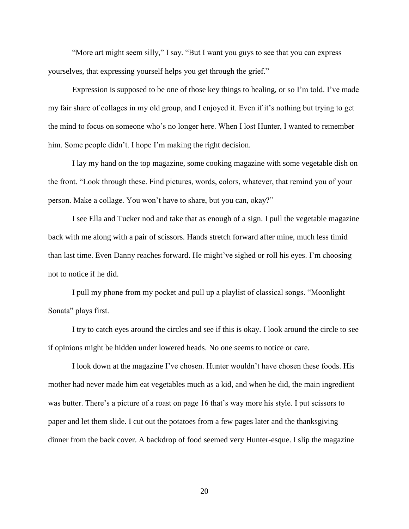"More art might seem silly," I say. "But I want you guys to see that you can express yourselves, that expressing yourself helps you get through the grief."

Expression is supposed to be one of those key things to healing, or so I'm told. I've made my fair share of collages in my old group, and I enjoyed it. Even if it's nothing but trying to get the mind to focus on someone who's no longer here. When I lost Hunter, I wanted to remember him. Some people didn't. I hope I'm making the right decision.

I lay my hand on the top magazine, some cooking magazine with some vegetable dish on the front. "Look through these. Find pictures, words, colors, whatever, that remind you of your person. Make a collage. You won't have to share, but you can, okay?"

I see Ella and Tucker nod and take that as enough of a sign. I pull the vegetable magazine back with me along with a pair of scissors. Hands stretch forward after mine, much less timid than last time. Even Danny reaches forward. He might've sighed or roll his eyes. I'm choosing not to notice if he did.

I pull my phone from my pocket and pull up a playlist of classical songs. "Moonlight Sonata" plays first.

I try to catch eyes around the circles and see if this is okay. I look around the circle to see if opinions might be hidden under lowered heads. No one seems to notice or care.

I look down at the magazine I've chosen. Hunter wouldn't have chosen these foods. His mother had never made him eat vegetables much as a kid, and when he did, the main ingredient was butter. There's a picture of a roast on page 16 that's way more his style. I put scissors to paper and let them slide. I cut out the potatoes from a few pages later and the thanksgiving dinner from the back cover. A backdrop of food seemed very Hunter-esque. I slip the magazine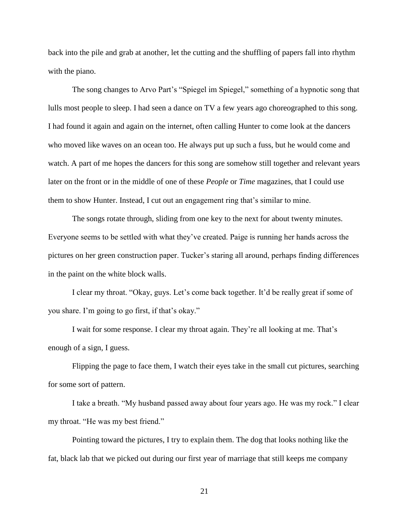back into the pile and grab at another, let the cutting and the shuffling of papers fall into rhythm with the piano.

The song changes to Arvo Part's "Spiegel im Spiegel," something of a hypnotic song that lulls most people to sleep. I had seen a dance on TV a few years ago choreographed to this song. I had found it again and again on the internet, often calling Hunter to come look at the dancers who moved like waves on an ocean too. He always put up such a fuss, but he would come and watch. A part of me hopes the dancers for this song are somehow still together and relevant years later on the front or in the middle of one of these *People* or *Time* magazines, that I could use them to show Hunter. Instead, I cut out an engagement ring that's similar to mine.

The songs rotate through, sliding from one key to the next for about twenty minutes. Everyone seems to be settled with what they've created. Paige is running her hands across the pictures on her green construction paper. Tucker's staring all around, perhaps finding differences in the paint on the white block walls.

I clear my throat. "Okay, guys. Let's come back together. It'd be really great if some of you share. I'm going to go first, if that's okay."

I wait for some response. I clear my throat again. They're all looking at me. That's enough of a sign, I guess.

Flipping the page to face them, I watch their eyes take in the small cut pictures, searching for some sort of pattern.

I take a breath. "My husband passed away about four years ago. He was my rock." I clear my throat. "He was my best friend."

Pointing toward the pictures, I try to explain them. The dog that looks nothing like the fat, black lab that we picked out during our first year of marriage that still keeps me company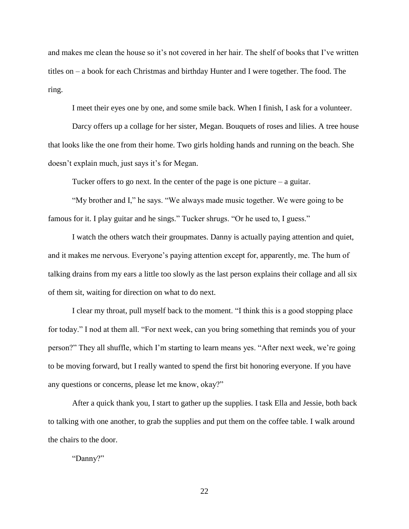and makes me clean the house so it's not covered in her hair. The shelf of books that I've written titles on – a book for each Christmas and birthday Hunter and I were together. The food. The ring.

I meet their eyes one by one, and some smile back. When I finish, I ask for a volunteer.

Darcy offers up a collage for her sister, Megan. Bouquets of roses and lilies. A tree house that looks like the one from their home. Two girls holding hands and running on the beach. She doesn't explain much, just says it's for Megan.

Tucker offers to go next. In the center of the page is one picture  $-$  a guitar.

"My brother and I," he says. "We always made music together. We were going to be famous for it. I play guitar and he sings." Tucker shrugs. "Or he used to, I guess."

I watch the others watch their groupmates. Danny is actually paying attention and quiet, and it makes me nervous. Everyone's paying attention except for, apparently, me. The hum of talking drains from my ears a little too slowly as the last person explains their collage and all six of them sit, waiting for direction on what to do next.

I clear my throat, pull myself back to the moment. "I think this is a good stopping place for today." I nod at them all. "For next week, can you bring something that reminds you of your person?" They all shuffle, which I'm starting to learn means yes. "After next week, we're going to be moving forward, but I really wanted to spend the first bit honoring everyone. If you have any questions or concerns, please let me know, okay?"

After a quick thank you, I start to gather up the supplies. I task Ella and Jessie, both back to talking with one another, to grab the supplies and put them on the coffee table. I walk around the chairs to the door.

"Danny?"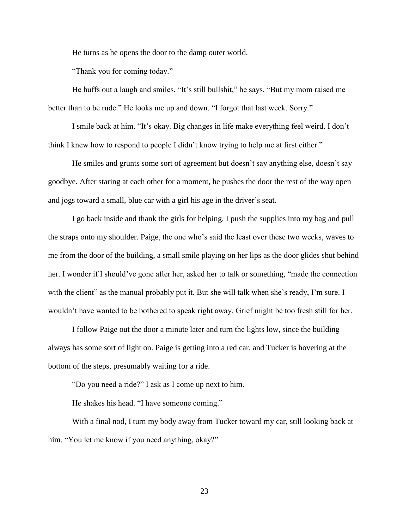He turns as he opens the door to the damp outer world.

"Thank you for coming today."

He huffs out a laugh and smiles. "It's still bullshit," he says. "But my mom raised me better than to be rude." He looks me up and down. "I forgot that last week. Sorry."

I smile back at him. "It's okay. Big changes in life make everything feel weird. I don't think I knew how to respond to people I didn't know trying to help me at first either."

He smiles and grunts some sort of agreement but doesn't say anything else, doesn't say goodbye. After staring at each other for a moment, he pushes the door the rest of the way open and jogs toward a small, blue car with a girl his age in the driver's seat.

I go back inside and thank the girls for helping. I push the supplies into my bag and pull the straps onto my shoulder. Paige, the one who's said the least over these two weeks, waves to me from the door of the building, a small smile playing on her lips as the door glides shut behind her. I wonder if I should've gone after her, asked her to talk or something, "made the connection with the client" as the manual probably put it. But she will talk when she's ready, I'm sure. I wouldn't have wanted to be bothered to speak right away. Grief might be too fresh still for her.

I follow Paige out the door a minute later and turn the lights low, since the building always has some sort of light on. Paige is getting into a red car, and Tucker is hovering at the bottom of the steps, presumably waiting for a ride.

"Do you need a ride?" I ask as I come up next to him.

He shakes his head. "I have someone coming."

With a final nod, I turn my body away from Tucker toward my car, still looking back at him. "You let me know if you need anything, okay?"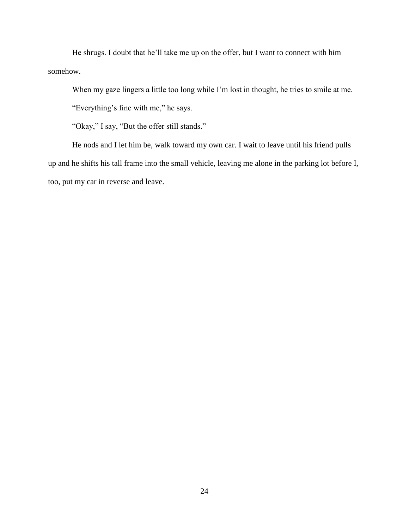He shrugs. I doubt that he'll take me up on the offer, but I want to connect with him somehow.

When my gaze lingers a little too long while I'm lost in thought, he tries to smile at me.

"Everything's fine with me," he says.

"Okay," I say, "But the offer still stands."

He nods and I let him be, walk toward my own car. I wait to leave until his friend pulls up and he shifts his tall frame into the small vehicle, leaving me alone in the parking lot before I, too, put my car in reverse and leave.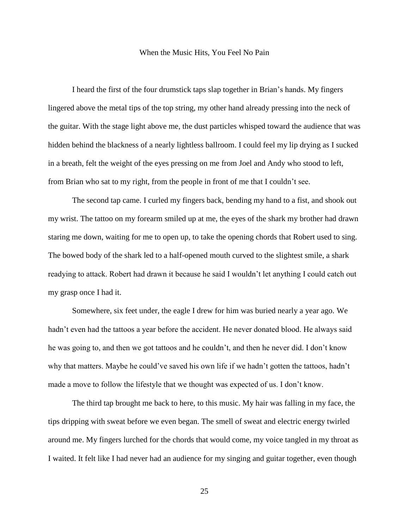#### When the Music Hits, You Feel No Pain

I heard the first of the four drumstick taps slap together in Brian's hands. My fingers lingered above the metal tips of the top string, my other hand already pressing into the neck of the guitar. With the stage light above me, the dust particles whisped toward the audience that was hidden behind the blackness of a nearly lightless ballroom. I could feel my lip drying as I sucked in a breath, felt the weight of the eyes pressing on me from Joel and Andy who stood to left, from Brian who sat to my right, from the people in front of me that I couldn't see.

The second tap came. I curled my fingers back, bending my hand to a fist, and shook out my wrist. The tattoo on my forearm smiled up at me, the eyes of the shark my brother had drawn staring me down, waiting for me to open up, to take the opening chords that Robert used to sing. The bowed body of the shark led to a half-opened mouth curved to the slightest smile, a shark readying to attack. Robert had drawn it because he said I wouldn't let anything I could catch out my grasp once I had it.

Somewhere, six feet under, the eagle I drew for him was buried nearly a year ago. We hadn't even had the tattoos a year before the accident. He never donated blood. He always said he was going to, and then we got tattoos and he couldn't, and then he never did. I don't know why that matters. Maybe he could've saved his own life if we hadn't gotten the tattoos, hadn't made a move to follow the lifestyle that we thought was expected of us. I don't know.

The third tap brought me back to here, to this music. My hair was falling in my face, the tips dripping with sweat before we even began. The smell of sweat and electric energy twirled around me. My fingers lurched for the chords that would come, my voice tangled in my throat as I waited. It felt like I had never had an audience for my singing and guitar together, even though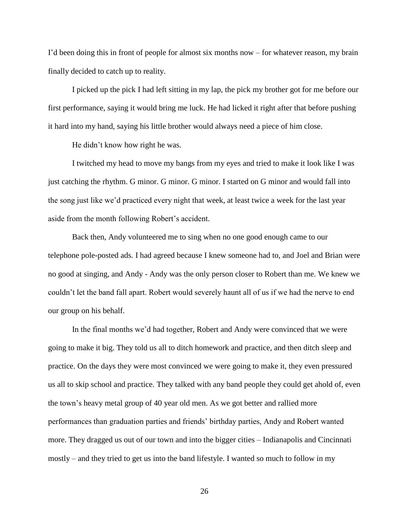I'd been doing this in front of people for almost six months now – for whatever reason, my brain finally decided to catch up to reality.

I picked up the pick I had left sitting in my lap, the pick my brother got for me before our first performance, saying it would bring me luck. He had licked it right after that before pushing it hard into my hand, saying his little brother would always need a piece of him close.

He didn't know how right he was.

I twitched my head to move my bangs from my eyes and tried to make it look like I was just catching the rhythm. G minor. G minor. G minor. I started on G minor and would fall into the song just like we'd practiced every night that week, at least twice a week for the last year aside from the month following Robert's accident.

Back then, Andy volunteered me to sing when no one good enough came to our telephone pole-posted ads. I had agreed because I knew someone had to, and Joel and Brian were no good at singing, and Andy - Andy was the only person closer to Robert than me. We knew we couldn't let the band fall apart. Robert would severely haunt all of us if we had the nerve to end our group on his behalf.

In the final months we'd had together, Robert and Andy were convinced that we were going to make it big. They told us all to ditch homework and practice, and then ditch sleep and practice. On the days they were most convinced we were going to make it, they even pressured us all to skip school and practice. They talked with any band people they could get ahold of, even the town's heavy metal group of 40 year old men. As we got better and rallied more performances than graduation parties and friends' birthday parties, Andy and Robert wanted more. They dragged us out of our town and into the bigger cities – Indianapolis and Cincinnati mostly – and they tried to get us into the band lifestyle. I wanted so much to follow in my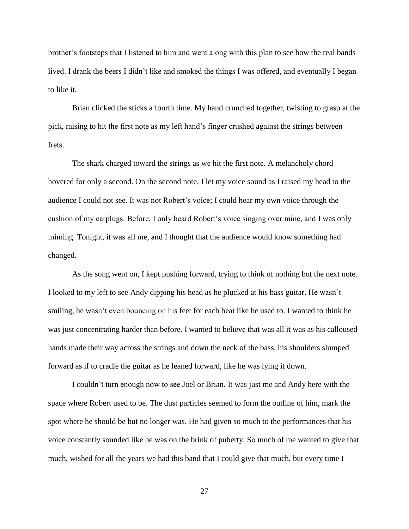brother's footsteps that I listened to him and went along with this plan to see how the real bands lived. I drank the beers I didn't like and smoked the things I was offered, and eventually I began to like it.

Brian clicked the sticks a fourth time. My hand crunched together, twisting to grasp at the pick, raising to hit the first note as my left hand's finger crushed against the strings between frets.

The shark charged toward the strings as we hit the first note. A melancholy chord hovered for only a second. On the second note, I let my voice sound as I raised my head to the audience I could not see. It was not Robert's voice; I could hear my own voice through the cushion of my earplugs. Before, I only heard Robert's voice singing over mine, and I was only miming. Tonight, it was all me, and I thought that the audience would know something had changed.

As the song went on, I kept pushing forward, trying to think of nothing but the next note. I looked to my left to see Andy dipping his head as he plucked at his bass guitar. He wasn't smiling, he wasn't even bouncing on his feet for each beat like he used to. I wanted to think he was just concentrating harder than before. I wanted to believe that was all it was as his calloused hands made their way across the strings and down the neck of the bass, his shoulders slumped forward as if to cradle the guitar as he leaned forward, like he was lying it down.

I couldn't turn enough now to see Joel or Brian. It was just me and Andy here with the space where Robert used to be. The dust particles seemed to form the outline of him, mark the spot where he should be but no longer was. He had given so much to the performances that his voice constantly sounded like he was on the brink of puberty. So much of me wanted to give that much, wished for all the years we had this band that I could give that much, but every time I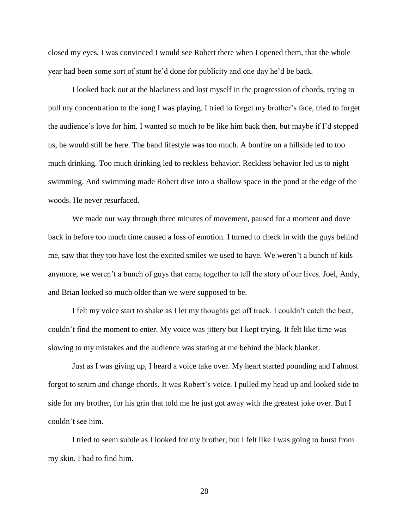closed my eyes, I was convinced I would see Robert there when I opened them, that the whole year had been some sort of stunt he'd done for publicity and one day he'd be back.

I looked back out at the blackness and lost myself in the progression of chords, trying to pull my concentration to the song I was playing. I tried to forget my brother's face, tried to forget the audience's love for him. I wanted so much to be like him back then, but maybe if I'd stopped us, he would still be here. The band lifestyle was too much. A bonfire on a hillside led to too much drinking. Too much drinking led to reckless behavior. Reckless behavior led us to night swimming. And swimming made Robert dive into a shallow space in the pond at the edge of the woods. He never resurfaced.

We made our way through three minutes of movement, paused for a moment and dove back in before too much time caused a loss of emotion. I turned to check in with the guys behind me, saw that they too have lost the excited smiles we used to have. We weren't a bunch of kids anymore, we weren't a bunch of guys that came together to tell the story of our lives. Joel, Andy, and Brian looked so much older than we were supposed to be.

I felt my voice start to shake as I let my thoughts get off track. I couldn't catch the beat, couldn't find the moment to enter. My voice was jittery but I kept trying. It felt like time was slowing to my mistakes and the audience was staring at me behind the black blanket.

Just as I was giving up, I heard a voice take over. My heart started pounding and I almost forgot to strum and change chords. It was Robert's voice. I pulled my head up and looked side to side for my brother, for his grin that told me he just got away with the greatest joke over. But I couldn't see him.

I tried to seem subtle as I looked for my brother, but I felt like I was going to burst from my skin. I had to find him.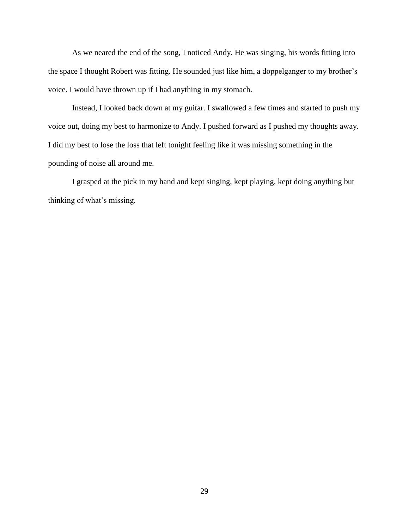As we neared the end of the song, I noticed Andy. He was singing, his words fitting into the space I thought Robert was fitting. He sounded just like him, a doppelganger to my brother's voice. I would have thrown up if I had anything in my stomach.

Instead, I looked back down at my guitar. I swallowed a few times and started to push my voice out, doing my best to harmonize to Andy. I pushed forward as I pushed my thoughts away. I did my best to lose the loss that left tonight feeling like it was missing something in the pounding of noise all around me.

I grasped at the pick in my hand and kept singing, kept playing, kept doing anything but thinking of what's missing.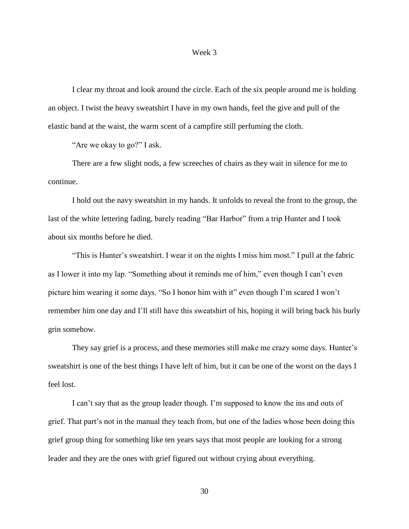### Week 3

I clear my throat and look around the circle. Each of the six people around me is holding an object. I twist the heavy sweatshirt I have in my own hands, feel the give and pull of the elastic band at the waist, the warm scent of a campfire still perfuming the cloth.

"Are we okay to go?" I ask.

There are a few slight nods, a few screeches of chairs as they wait in silence for me to continue.

I hold out the navy sweatshirt in my hands. It unfolds to reveal the front to the group, the last of the white lettering fading, barely reading "Bar Harbor" from a trip Hunter and I took about six months before he died.

"This is Hunter's sweatshirt. I wear it on the nights I miss him most." I pull at the fabric as I lower it into my lap. "Something about it reminds me of him," even though I can't even picture him wearing it some days. "So I honor him with it" even though I'm scared I won't remember him one day and I'll still have this sweatshirt of his, hoping it will bring back his burly grin somehow.

They say grief is a process, and these memories still make me crazy some days. Hunter's sweatshirt is one of the best things I have left of him, but it can be one of the worst on the days I feel lost.

I can't say that as the group leader though. I'm supposed to know the ins and outs of grief. That part's not in the manual they teach from, but one of the ladies whose been doing this grief group thing for something like ten years says that most people are looking for a strong leader and they are the ones with grief figured out without crying about everything.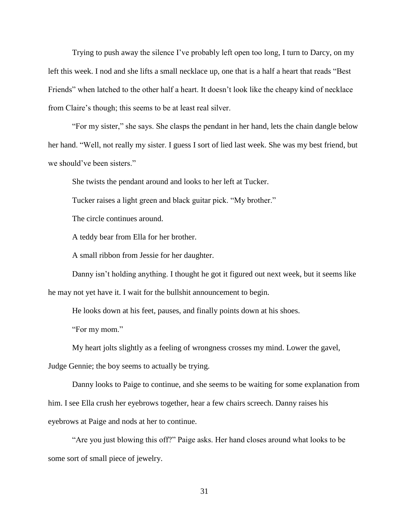Trying to push away the silence I've probably left open too long, I turn to Darcy, on my left this week. I nod and she lifts a small necklace up, one that is a half a heart that reads "Best Friends" when latched to the other half a heart. It doesn't look like the cheapy kind of necklace from Claire's though; this seems to be at least real silver.

"For my sister," she says. She clasps the pendant in her hand, lets the chain dangle below her hand. "Well, not really my sister. I guess I sort of lied last week. She was my best friend, but we should've been sisters."

She twists the pendant around and looks to her left at Tucker.

Tucker raises a light green and black guitar pick. "My brother."

The circle continues around.

A teddy bear from Ella for her brother.

A small ribbon from Jessie for her daughter.

Danny isn't holding anything. I thought he got it figured out next week, but it seems like he may not yet have it. I wait for the bullshit announcement to begin.

He looks down at his feet, pauses, and finally points down at his shoes.

"For my mom."

My heart jolts slightly as a feeling of wrongness crosses my mind. Lower the gavel,

Judge Gennie; the boy seems to actually be trying.

Danny looks to Paige to continue, and she seems to be waiting for some explanation from him. I see Ella crush her eyebrows together, hear a few chairs screech. Danny raises his eyebrows at Paige and nods at her to continue.

"Are you just blowing this off?" Paige asks. Her hand closes around what looks to be some sort of small piece of jewelry.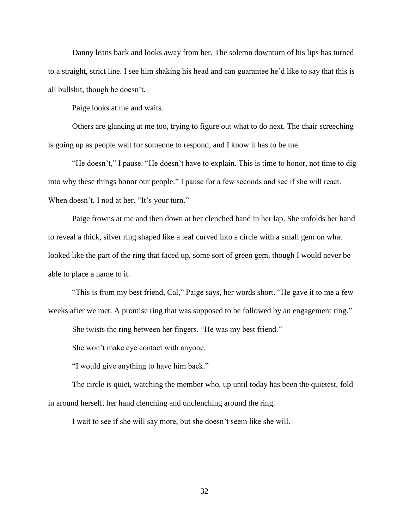Danny leans back and looks away from her. The solemn downturn of his lips has turned to a straight, strict line. I see him shaking his head and can guarantee he'd like to say that this is all bullshit, though he doesn't.

Paige looks at me and waits.

Others are glancing at me too, trying to figure out what to do next. The chair screeching is going up as people wait for someone to respond, and I know it has to be me.

"He doesn't," I pause. "He doesn't have to explain. This is time to honor, not time to dig into why these things honor our people." I pause for a few seconds and see if she will react. When doesn't, I nod at her. "It's your turn."

Paige frowns at me and then down at her clenched hand in her lap. She unfolds her hand to reveal a thick, silver ring shaped like a leaf curved into a circle with a small gem on what looked like the part of the ring that faced up, some sort of green gem, though I would never be able to place a name to it.

"This is from my best friend, Cal," Paige says, her words short. "He gave it to me a few weeks after we met. A promise ring that was supposed to be followed by an engagement ring."

She twists the ring between her fingers. "He was my best friend."

She won't make eye contact with anyone.

"I would give anything to have him back."

The circle is quiet, watching the member who, up until today has been the quietest, fold in around herself, her hand clenching and unclenching around the ring.

I wait to see if she will say more, but she doesn't seem like she will.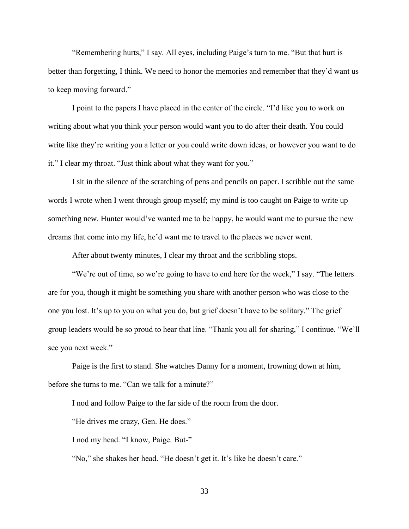"Remembering hurts," I say. All eyes, including Paige's turn to me. "But that hurt is better than forgetting, I think. We need to honor the memories and remember that they'd want us to keep moving forward."

I point to the papers I have placed in the center of the circle. "I'd like you to work on writing about what you think your person would want you to do after their death. You could write like they're writing you a letter or you could write down ideas, or however you want to do it." I clear my throat. "Just think about what they want for you."

I sit in the silence of the scratching of pens and pencils on paper. I scribble out the same words I wrote when I went through group myself; my mind is too caught on Paige to write up something new. Hunter would've wanted me to be happy, he would want me to pursue the new dreams that come into my life, he'd want me to travel to the places we never went.

After about twenty minutes, I clear my throat and the scribbling stops.

"We're out of time, so we're going to have to end here for the week," I say. "The letters are for you, though it might be something you share with another person who was close to the one you lost. It's up to you on what you do, but grief doesn't have to be solitary." The grief group leaders would be so proud to hear that line. "Thank you all for sharing," I continue. "We'll see you next week."

Paige is the first to stand. She watches Danny for a moment, frowning down at him, before she turns to me. "Can we talk for a minute?"

I nod and follow Paige to the far side of the room from the door.

"He drives me crazy, Gen. He does."

I nod my head. "I know, Paige. But-"

"No," she shakes her head. "He doesn't get it. It's like he doesn't care."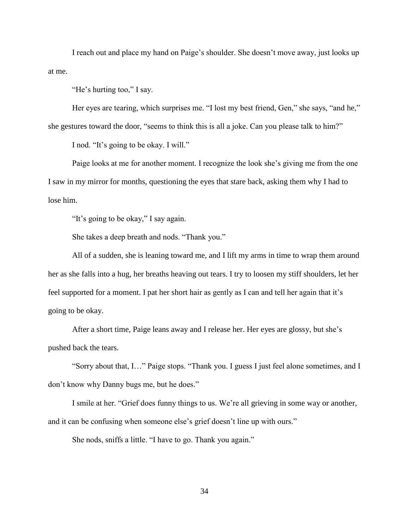I reach out and place my hand on Paige's shoulder. She doesn't move away, just looks up at me.

"He's hurting too," I say.

Her eyes are tearing, which surprises me. "I lost my best friend, Gen," she says, "and he," she gestures toward the door, "seems to think this is all a joke. Can you please talk to him?"

I nod. "It's going to be okay. I will."

Paige looks at me for another moment. I recognize the look she's giving me from the one I saw in my mirror for months, questioning the eyes that stare back, asking them why I had to lose him.

"It's going to be okay," I say again.

She takes a deep breath and nods. "Thank you."

All of a sudden, she is leaning toward me, and I lift my arms in time to wrap them around her as she falls into a hug, her breaths heaving out tears. I try to loosen my stiff shoulders, let her feel supported for a moment. I pat her short hair as gently as I can and tell her again that it's going to be okay.

After a short time, Paige leans away and I release her. Her eyes are glossy, but she's pushed back the tears.

"Sorry about that, I…" Paige stops. "Thank you. I guess I just feel alone sometimes, and I don't know why Danny bugs me, but he does."

I smile at her. "Grief does funny things to us. We're all grieving in some way or another, and it can be confusing when someone else's grief doesn't line up with ours."

She nods, sniffs a little. "I have to go. Thank you again."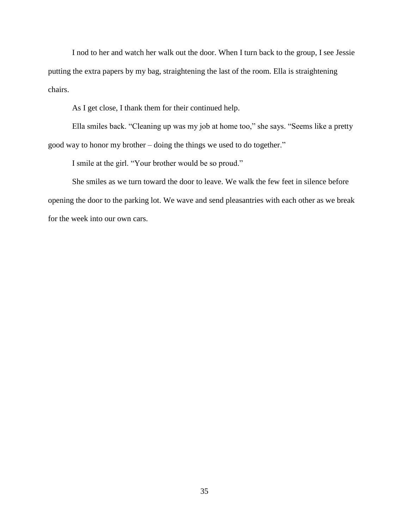I nod to her and watch her walk out the door. When I turn back to the group, I see Jessie putting the extra papers by my bag, straightening the last of the room. Ella is straightening chairs.

As I get close, I thank them for their continued help.

Ella smiles back. "Cleaning up was my job at home too," she says. "Seems like a pretty good way to honor my brother – doing the things we used to do together."

I smile at the girl. "Your brother would be so proud."

She smiles as we turn toward the door to leave. We walk the few feet in silence before opening the door to the parking lot. We wave and send pleasantries with each other as we break for the week into our own cars.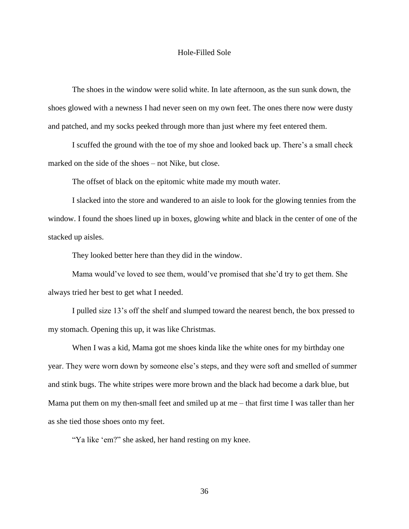## Hole-Filled Sole

The shoes in the window were solid white. In late afternoon, as the sun sunk down, the shoes glowed with a newness I had never seen on my own feet. The ones there now were dusty and patched, and my socks peeked through more than just where my feet entered them.

I scuffed the ground with the toe of my shoe and looked back up. There's a small check marked on the side of the shoes – not Nike, but close.

The offset of black on the epitomic white made my mouth water.

I slacked into the store and wandered to an aisle to look for the glowing tennies from the window. I found the shoes lined up in boxes, glowing white and black in the center of one of the stacked up aisles.

They looked better here than they did in the window.

Mama would've loved to see them, would've promised that she'd try to get them. She always tried her best to get what I needed.

I pulled size 13's off the shelf and slumped toward the nearest bench, the box pressed to my stomach. Opening this up, it was like Christmas.

When I was a kid, Mama got me shoes kinda like the white ones for my birthday one year. They were worn down by someone else's steps, and they were soft and smelled of summer and stink bugs. The white stripes were more brown and the black had become a dark blue, but Mama put them on my then-small feet and smiled up at me – that first time I was taller than her as she tied those shoes onto my feet.

"Ya like 'em?" she asked, her hand resting on my knee.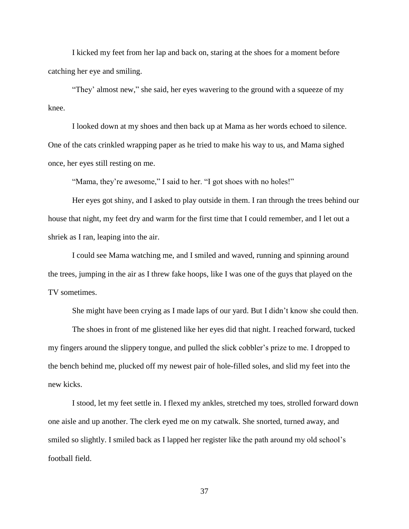I kicked my feet from her lap and back on, staring at the shoes for a moment before catching her eye and smiling.

"They' almost new," she said, her eyes wavering to the ground with a squeeze of my knee.

I looked down at my shoes and then back up at Mama as her words echoed to silence. One of the cats crinkled wrapping paper as he tried to make his way to us, and Mama sighed once, her eyes still resting on me.

"Mama, they're awesome," I said to her. "I got shoes with no holes!"

Her eyes got shiny, and I asked to play outside in them. I ran through the trees behind our house that night, my feet dry and warm for the first time that I could remember, and I let out a shriek as I ran, leaping into the air.

I could see Mama watching me, and I smiled and waved, running and spinning around the trees, jumping in the air as I threw fake hoops, like I was one of the guys that played on the TV sometimes.

She might have been crying as I made laps of our yard. But I didn't know she could then.

The shoes in front of me glistened like her eyes did that night. I reached forward, tucked my fingers around the slippery tongue, and pulled the slick cobbler's prize to me. I dropped to the bench behind me, plucked off my newest pair of hole-filled soles, and slid my feet into the new kicks.

I stood, let my feet settle in. I flexed my ankles, stretched my toes, strolled forward down one aisle and up another. The clerk eyed me on my catwalk. She snorted, turned away, and smiled so slightly. I smiled back as I lapped her register like the path around my old school's football field.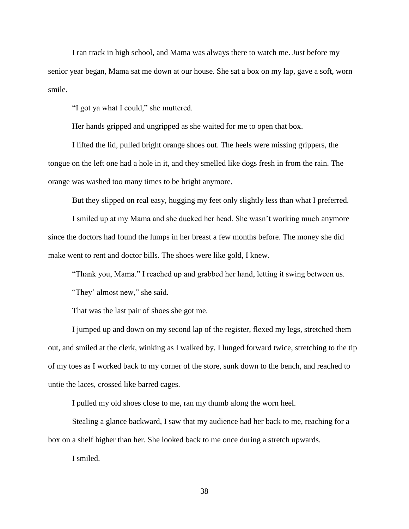I ran track in high school, and Mama was always there to watch me. Just before my senior year began, Mama sat me down at our house. She sat a box on my lap, gave a soft, worn smile.

"I got ya what I could," she muttered.

Her hands gripped and ungripped as she waited for me to open that box.

I lifted the lid, pulled bright orange shoes out. The heels were missing grippers, the tongue on the left one had a hole in it, and they smelled like dogs fresh in from the rain. The orange was washed too many times to be bright anymore.

But they slipped on real easy, hugging my feet only slightly less than what I preferred.

I smiled up at my Mama and she ducked her head. She wasn't working much anymore since the doctors had found the lumps in her breast a few months before. The money she did make went to rent and doctor bills. The shoes were like gold, I knew.

"Thank you, Mama." I reached up and grabbed her hand, letting it swing between us.

"They' almost new," she said.

That was the last pair of shoes she got me.

I jumped up and down on my second lap of the register, flexed my legs, stretched them out, and smiled at the clerk, winking as I walked by. I lunged forward twice, stretching to the tip of my toes as I worked back to my corner of the store, sunk down to the bench, and reached to untie the laces, crossed like barred cages.

I pulled my old shoes close to me, ran my thumb along the worn heel.

Stealing a glance backward, I saw that my audience had her back to me, reaching for a box on a shelf higher than her. She looked back to me once during a stretch upwards.

I smiled.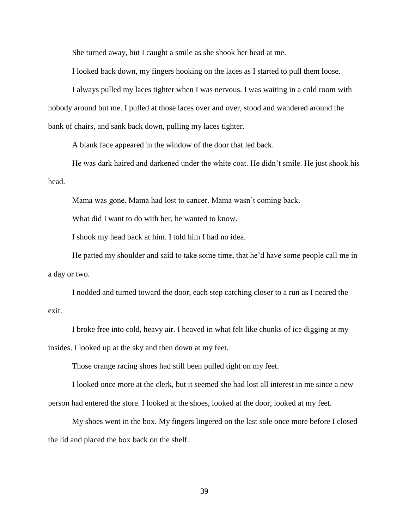She turned away, but I caught a smile as she shook her head at me.

I looked back down, my fingers hooking on the laces as I started to pull them loose.

I always pulled my laces tighter when I was nervous. I was waiting in a cold room with nobody around but me. I pulled at those laces over and over, stood and wandered around the bank of chairs, and sank back down, pulling my laces tighter.

A blank face appeared in the window of the door that led back.

He was dark haired and darkened under the white coat. He didn't smile. He just shook his head.

Mama was gone. Mama had lost to cancer. Mama wasn't coming back.

What did I want to do with her, he wanted to know.

I shook my head back at him. I told him I had no idea.

He patted my shoulder and said to take some time, that he'd have some people call me in a day or two.

I nodded and turned toward the door, each step catching closer to a run as I neared the exit.

I broke free into cold, heavy air. I heaved in what felt like chunks of ice digging at my insides. I looked up at the sky and then down at my feet.

Those orange racing shoes had still been pulled tight on my feet.

I looked once more at the clerk, but it seemed she had lost all interest in me since a new person had entered the store. I looked at the shoes, looked at the door, looked at my feet.

My shoes went in the box. My fingers lingered on the last sole once more before I closed the lid and placed the box back on the shelf.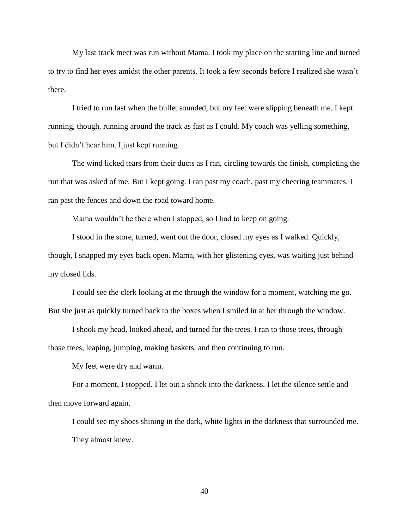My last track meet was run without Mama. I took my place on the starting line and turned to try to find her eyes amidst the other parents. It took a few seconds before I realized she wasn't there.

I tried to run fast when the bullet sounded, but my feet were slipping beneath me. I kept running, though, running around the track as fast as I could. My coach was yelling something, but I didn't hear him. I just kept running.

The wind licked tears from their ducts as I ran, circling towards the finish, completing the run that was asked of me. But I kept going. I ran past my coach, past my cheering teammates. I ran past the fences and down the road toward home.

Mama wouldn't be there when I stopped, so I had to keep on going.

I stood in the store, turned, went out the door, closed my eyes as I walked. Quickly, though, I snapped my eyes back open. Mama, with her glistening eyes, was waiting just behind my closed lids.

I could see the clerk looking at me through the window for a moment, watching me go. But she just as quickly turned back to the boxes when I smiled in at her through the window.

I shook my head, looked ahead, and turned for the trees. I ran to those trees, through those trees, leaping, jumping, making baskets, and then continuing to run.

My feet were dry and warm.

For a moment, I stopped. I let out a shriek into the darkness. I let the silence settle and then move forward again.

I could see my shoes shining in the dark, white lights in the darkness that surrounded me. They almost knew.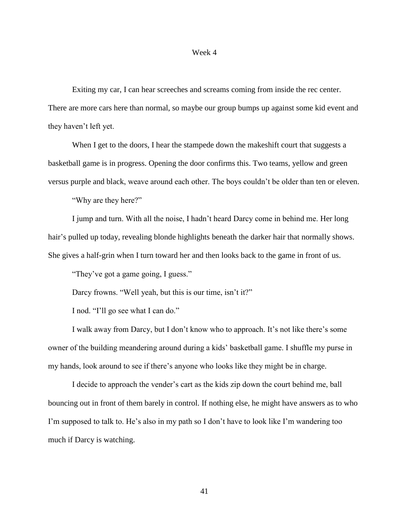#### Week 4

Exiting my car, I can hear screeches and screams coming from inside the rec center. There are more cars here than normal, so maybe our group bumps up against some kid event and they haven't left yet.

When I get to the doors, I hear the stampede down the makeshift court that suggests a basketball game is in progress. Opening the door confirms this. Two teams, yellow and green versus purple and black, weave around each other. The boys couldn't be older than ten or eleven.

"Why are they here?"

I jump and turn. With all the noise, I hadn't heard Darcy come in behind me. Her long hair's pulled up today, revealing blonde highlights beneath the darker hair that normally shows. She gives a half-grin when I turn toward her and then looks back to the game in front of us.

"They've got a game going, I guess."

Darcy frowns. "Well yeah, but this is our time, isn't it?"

I nod. "I'll go see what I can do."

I walk away from Darcy, but I don't know who to approach. It's not like there's some owner of the building meandering around during a kids' basketball game. I shuffle my purse in my hands, look around to see if there's anyone who looks like they might be in charge.

I decide to approach the vender's cart as the kids zip down the court behind me, ball bouncing out in front of them barely in control. If nothing else, he might have answers as to who I'm supposed to talk to. He's also in my path so I don't have to look like I'm wandering too much if Darcy is watching.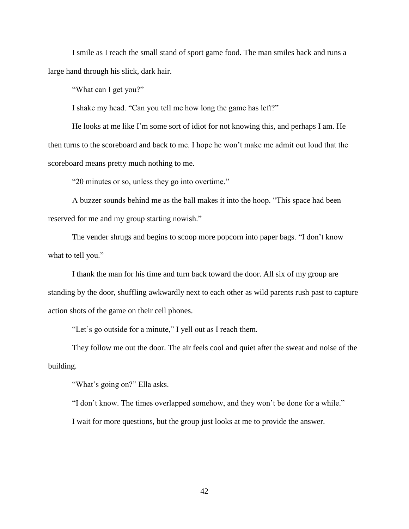I smile as I reach the small stand of sport game food. The man smiles back and runs a large hand through his slick, dark hair.

"What can I get you?"

I shake my head. "Can you tell me how long the game has left?"

He looks at me like I'm some sort of idiot for not knowing this, and perhaps I am. He then turns to the scoreboard and back to me. I hope he won't make me admit out loud that the scoreboard means pretty much nothing to me.

"20 minutes or so, unless they go into overtime."

A buzzer sounds behind me as the ball makes it into the hoop. "This space had been reserved for me and my group starting nowish."

The vender shrugs and begins to scoop more popcorn into paper bags. "I don't know what to tell you."

I thank the man for his time and turn back toward the door. All six of my group are standing by the door, shuffling awkwardly next to each other as wild parents rush past to capture action shots of the game on their cell phones.

"Let's go outside for a minute," I yell out as I reach them.

They follow me out the door. The air feels cool and quiet after the sweat and noise of the building.

"What's going on?" Ella asks.

"I don't know. The times overlapped somehow, and they won't be done for a while."

I wait for more questions, but the group just looks at me to provide the answer.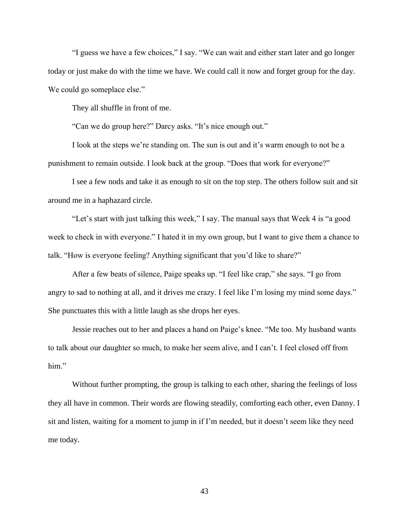"I guess we have a few choices," I say. "We can wait and either start later and go longer today or just make do with the time we have. We could call it now and forget group for the day. We could go someplace else."

They all shuffle in front of me.

"Can we do group here?" Darcy asks. "It's nice enough out."

I look at the steps we're standing on. The sun is out and it's warm enough to not be a punishment to remain outside. I look back at the group. "Does that work for everyone?"

I see a few nods and take it as enough to sit on the top step. The others follow suit and sit around me in a haphazard circle.

"Let's start with just talking this week," I say. The manual says that Week 4 is "a good week to check in with everyone." I hated it in my own group, but I want to give them a chance to talk. "How is everyone feeling? Anything significant that you'd like to share?"

After a few beats of silence, Paige speaks up. "I feel like crap," she says. "I go from angry to sad to nothing at all, and it drives me crazy. I feel like I'm losing my mind some days." She punctuates this with a little laugh as she drops her eyes.

Jessie reaches out to her and places a hand on Paige's knee. "Me too. My husband wants to talk about our daughter so much, to make her seem alive, and I can't. I feel closed off from him."

Without further prompting, the group is talking to each other, sharing the feelings of loss they all have in common. Their words are flowing steadily, comforting each other, even Danny. I sit and listen, waiting for a moment to jump in if I'm needed, but it doesn't seem like they need me today.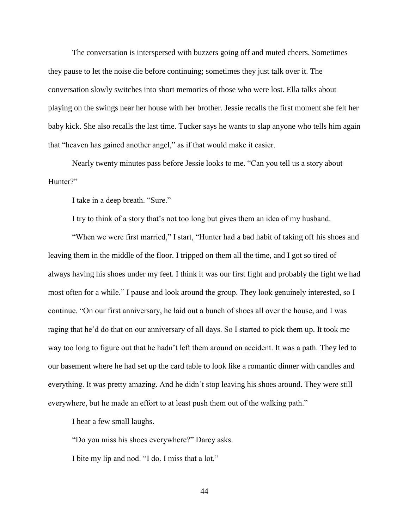The conversation is interspersed with buzzers going off and muted cheers. Sometimes they pause to let the noise die before continuing; sometimes they just talk over it. The conversation slowly switches into short memories of those who were lost. Ella talks about playing on the swings near her house with her brother. Jessie recalls the first moment she felt her baby kick. She also recalls the last time. Tucker says he wants to slap anyone who tells him again that "heaven has gained another angel," as if that would make it easier.

Nearly twenty minutes pass before Jessie looks to me. "Can you tell us a story about Hunter?"

I take in a deep breath. "Sure."

I try to think of a story that's not too long but gives them an idea of my husband.

"When we were first married," I start, "Hunter had a bad habit of taking off his shoes and leaving them in the middle of the floor. I tripped on them all the time, and I got so tired of always having his shoes under my feet. I think it was our first fight and probably the fight we had most often for a while." I pause and look around the group. They look genuinely interested, so I continue. "On our first anniversary, he laid out a bunch of shoes all over the house, and I was raging that he'd do that on our anniversary of all days. So I started to pick them up. It took me way too long to figure out that he hadn't left them around on accident. It was a path. They led to our basement where he had set up the card table to look like a romantic dinner with candles and everything. It was pretty amazing. And he didn't stop leaving his shoes around. They were still everywhere, but he made an effort to at least push them out of the walking path."

I hear a few small laughs.

"Do you miss his shoes everywhere?" Darcy asks.

I bite my lip and nod. "I do. I miss that a lot."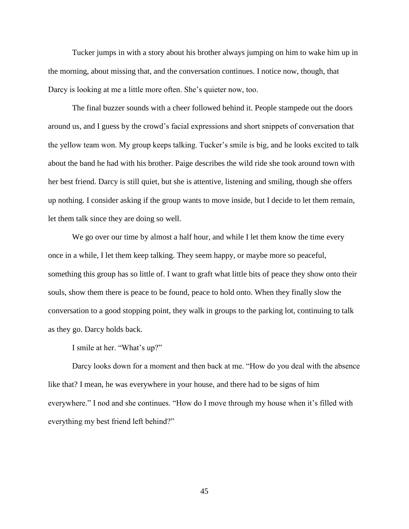Tucker jumps in with a story about his brother always jumping on him to wake him up in the morning, about missing that, and the conversation continues. I notice now, though, that Darcy is looking at me a little more often. She's quieter now, too.

The final buzzer sounds with a cheer followed behind it. People stampede out the doors around us, and I guess by the crowd's facial expressions and short snippets of conversation that the yellow team won. My group keeps talking. Tucker's smile is big, and he looks excited to talk about the band he had with his brother. Paige describes the wild ride she took around town with her best friend. Darcy is still quiet, but she is attentive, listening and smiling, though she offers up nothing. I consider asking if the group wants to move inside, but I decide to let them remain, let them talk since they are doing so well.

We go over our time by almost a half hour, and while I let them know the time every once in a while, I let them keep talking. They seem happy, or maybe more so peaceful, something this group has so little of. I want to graft what little bits of peace they show onto their souls, show them there is peace to be found, peace to hold onto. When they finally slow the conversation to a good stopping point, they walk in groups to the parking lot, continuing to talk as they go. Darcy holds back.

I smile at her. "What's up?"

Darcy looks down for a moment and then back at me. "How do you deal with the absence like that? I mean, he was everywhere in your house, and there had to be signs of him everywhere." I nod and she continues. "How do I move through my house when it's filled with everything my best friend left behind?"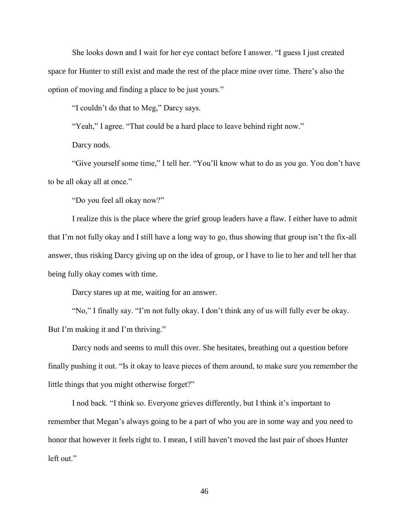She looks down and I wait for her eye contact before I answer. "I guess I just created space for Hunter to still exist and made the rest of the place mine over time. There's also the option of moving and finding a place to be just yours."

"I couldn't do that to Meg," Darcy says.

"Yeah," I agree. "That could be a hard place to leave behind right now."

Darcy nods.

"Give yourself some time," I tell her. "You'll know what to do as you go. You don't have to be all okay all at once."

"Do you feel all okay now?"

I realize this is the place where the grief group leaders have a flaw. I either have to admit that I'm not fully okay and I still have a long way to go, thus showing that group isn't the fix-all answer, thus risking Darcy giving up on the idea of group, or I have to lie to her and tell her that being fully okay comes with time.

Darcy stares up at me, waiting for an answer.

"No," I finally say. "I'm not fully okay. I don't think any of us will fully ever be okay. But I'm making it and I'm thriving."

Darcy nods and seems to mull this over. She hesitates, breathing out a question before finally pushing it out. "Is it okay to leave pieces of them around, to make sure you remember the little things that you might otherwise forget?"

I nod back. "I think so. Everyone grieves differently, but I think it's important to remember that Megan's always going to be a part of who you are in some way and you need to honor that however it feels right to. I mean, I still haven't moved the last pair of shoes Hunter left out."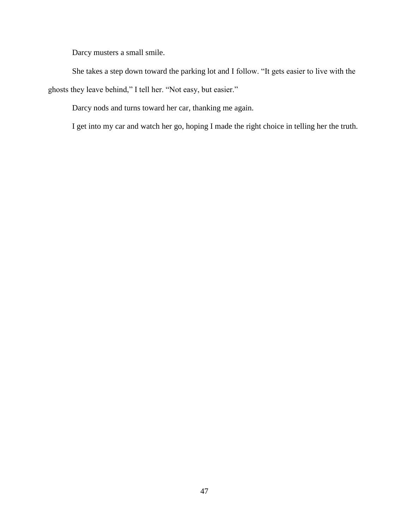Darcy musters a small smile.

She takes a step down toward the parking lot and I follow. "It gets easier to live with the ghosts they leave behind," I tell her. "Not easy, but easier."

Darcy nods and turns toward her car, thanking me again.

I get into my car and watch her go, hoping I made the right choice in telling her the truth.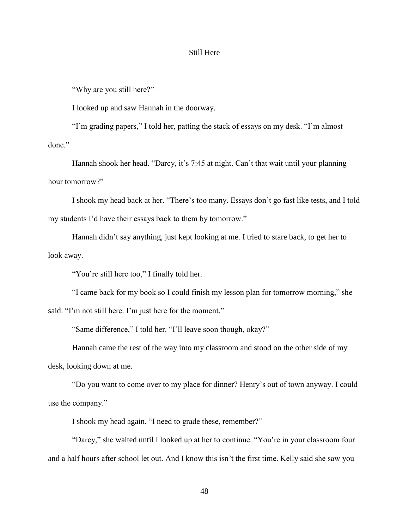### Still Here

"Why are you still here?"

I looked up and saw Hannah in the doorway.

"I'm grading papers," I told her, patting the stack of essays on my desk. "I'm almost done."

Hannah shook her head. "Darcy, it's 7:45 at night. Can't that wait until your planning hour tomorrow?"

I shook my head back at her. "There's too many. Essays don't go fast like tests, and I told my students I'd have their essays back to them by tomorrow."

Hannah didn't say anything, just kept looking at me. I tried to stare back, to get her to look away.

"You're still here too," I finally told her.

"I came back for my book so I could finish my lesson plan for tomorrow morning," she said. "I'm not still here. I'm just here for the moment."

"Same difference," I told her. "I'll leave soon though, okay?"

Hannah came the rest of the way into my classroom and stood on the other side of my desk, looking down at me.

"Do you want to come over to my place for dinner? Henry's out of town anyway. I could use the company."

I shook my head again. "I need to grade these, remember?"

"Darcy," she waited until I looked up at her to continue. "You're in your classroom four and a half hours after school let out. And I know this isn't the first time. Kelly said she saw you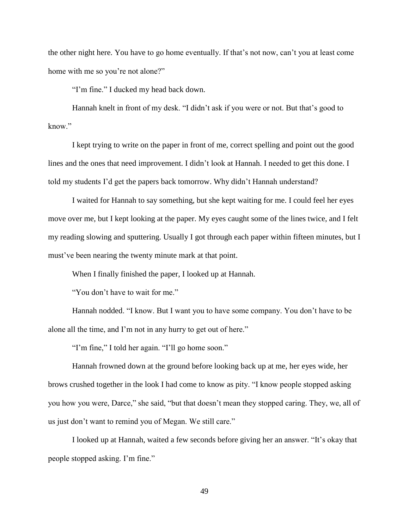the other night here. You have to go home eventually. If that's not now, can't you at least come home with me so you're not alone?"

"I'm fine." I ducked my head back down.

Hannah knelt in front of my desk. "I didn't ask if you were or not. But that's good to know."

I kept trying to write on the paper in front of me, correct spelling and point out the good lines and the ones that need improvement. I didn't look at Hannah. I needed to get this done. I told my students I'd get the papers back tomorrow. Why didn't Hannah understand?

I waited for Hannah to say something, but she kept waiting for me. I could feel her eyes move over me, but I kept looking at the paper. My eyes caught some of the lines twice, and I felt my reading slowing and sputtering. Usually I got through each paper within fifteen minutes, but I must've been nearing the twenty minute mark at that point.

When I finally finished the paper, I looked up at Hannah.

"You don't have to wait for me."

Hannah nodded. "I know. But I want you to have some company. You don't have to be alone all the time, and I'm not in any hurry to get out of here."

"I'm fine," I told her again. "I'll go home soon."

Hannah frowned down at the ground before looking back up at me, her eyes wide, her brows crushed together in the look I had come to know as pity. "I know people stopped asking you how you were, Darce," she said, "but that doesn't mean they stopped caring. They, we, all of us just don't want to remind you of Megan. We still care."

I looked up at Hannah, waited a few seconds before giving her an answer. "It's okay that people stopped asking. I'm fine."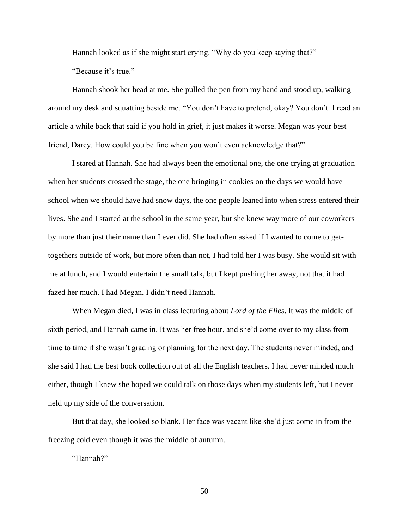Hannah looked as if she might start crying. "Why do you keep saying that?"

"Because it's true."

Hannah shook her head at me. She pulled the pen from my hand and stood up, walking around my desk and squatting beside me. "You don't have to pretend, okay? You don't. I read an article a while back that said if you hold in grief, it just makes it worse. Megan was your best friend, Darcy. How could you be fine when you won't even acknowledge that?"

I stared at Hannah. She had always been the emotional one, the one crying at graduation when her students crossed the stage, the one bringing in cookies on the days we would have school when we should have had snow days, the one people leaned into when stress entered their lives. She and I started at the school in the same year, but she knew way more of our coworkers by more than just their name than I ever did. She had often asked if I wanted to come to gettogethers outside of work, but more often than not, I had told her I was busy. She would sit with me at lunch, and I would entertain the small talk, but I kept pushing her away, not that it had fazed her much. I had Megan. I didn't need Hannah.

When Megan died, I was in class lecturing about *Lord of the Flies*. It was the middle of sixth period, and Hannah came in. It was her free hour, and she'd come over to my class from time to time if she wasn't grading or planning for the next day. The students never minded, and she said I had the best book collection out of all the English teachers. I had never minded much either, though I knew she hoped we could talk on those days when my students left, but I never held up my side of the conversation.

But that day, she looked so blank. Her face was vacant like she'd just come in from the freezing cold even though it was the middle of autumn.

"Hannah?"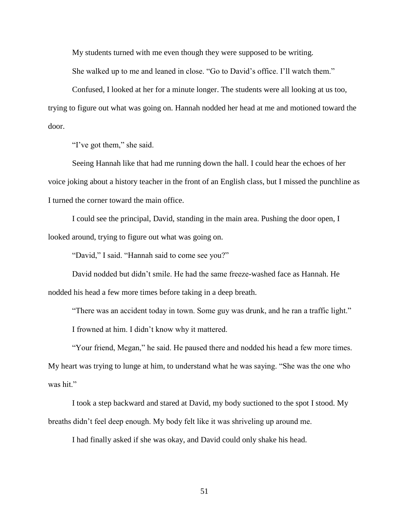My students turned with me even though they were supposed to be writing.

She walked up to me and leaned in close. "Go to David's office. I'll watch them."

Confused, I looked at her for a minute longer. The students were all looking at us too, trying to figure out what was going on. Hannah nodded her head at me and motioned toward the door.

"I've got them," she said.

Seeing Hannah like that had me running down the hall. I could hear the echoes of her voice joking about a history teacher in the front of an English class, but I missed the punchline as I turned the corner toward the main office.

I could see the principal, David, standing in the main area. Pushing the door open, I looked around, trying to figure out what was going on.

"David," I said. "Hannah said to come see you?"

David nodded but didn't smile. He had the same freeze-washed face as Hannah. He nodded his head a few more times before taking in a deep breath.

"There was an accident today in town. Some guy was drunk, and he ran a traffic light."

I frowned at him. I didn't know why it mattered.

"Your friend, Megan," he said. He paused there and nodded his head a few more times. My heart was trying to lunge at him, to understand what he was saying. "She was the one who was hit."

I took a step backward and stared at David, my body suctioned to the spot I stood. My breaths didn't feel deep enough. My body felt like it was shriveling up around me.

I had finally asked if she was okay, and David could only shake his head.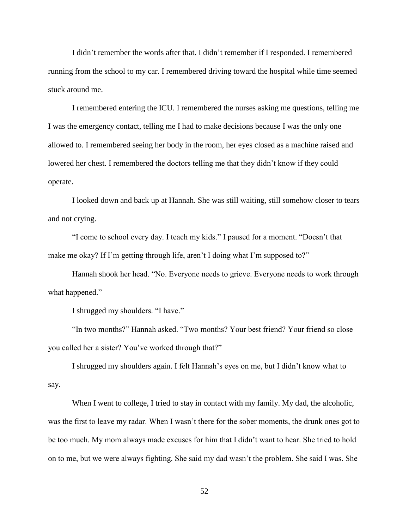I didn't remember the words after that. I didn't remember if I responded. I remembered running from the school to my car. I remembered driving toward the hospital while time seemed stuck around me.

I remembered entering the ICU. I remembered the nurses asking me questions, telling me I was the emergency contact, telling me I had to make decisions because I was the only one allowed to. I remembered seeing her body in the room, her eyes closed as a machine raised and lowered her chest. I remembered the doctors telling me that they didn't know if they could operate.

I looked down and back up at Hannah. She was still waiting, still somehow closer to tears and not crying.

"I come to school every day. I teach my kids." I paused for a moment. "Doesn't that make me okay? If I'm getting through life, aren't I doing what I'm supposed to?"

Hannah shook her head. "No. Everyone needs to grieve. Everyone needs to work through what happened."

I shrugged my shoulders. "I have."

"In two months?" Hannah asked. "Two months? Your best friend? Your friend so close you called her a sister? You've worked through that?"

I shrugged my shoulders again. I felt Hannah's eyes on me, but I didn't know what to say.

When I went to college, I tried to stay in contact with my family. My dad, the alcoholic, was the first to leave my radar. When I wasn't there for the sober moments, the drunk ones got to be too much. My mom always made excuses for him that I didn't want to hear. She tried to hold on to me, but we were always fighting. She said my dad wasn't the problem. She said I was. She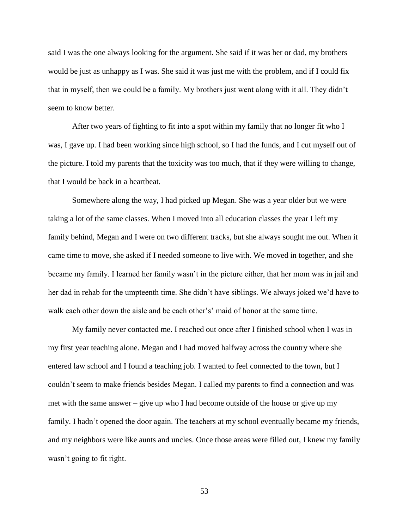said I was the one always looking for the argument. She said if it was her or dad, my brothers would be just as unhappy as I was. She said it was just me with the problem, and if I could fix that in myself, then we could be a family. My brothers just went along with it all. They didn't seem to know better.

After two years of fighting to fit into a spot within my family that no longer fit who I was, I gave up. I had been working since high school, so I had the funds, and I cut myself out of the picture. I told my parents that the toxicity was too much, that if they were willing to change, that I would be back in a heartbeat.

Somewhere along the way, I had picked up Megan. She was a year older but we were taking a lot of the same classes. When I moved into all education classes the year I left my family behind, Megan and I were on two different tracks, but she always sought me out. When it came time to move, she asked if I needed someone to live with. We moved in together, and she became my family. I learned her family wasn't in the picture either, that her mom was in jail and her dad in rehab for the umpteenth time. She didn't have siblings. We always joked we'd have to walk each other down the aisle and be each other's' maid of honor at the same time.

My family never contacted me. I reached out once after I finished school when I was in my first year teaching alone. Megan and I had moved halfway across the country where she entered law school and I found a teaching job. I wanted to feel connected to the town, but I couldn't seem to make friends besides Megan. I called my parents to find a connection and was met with the same answer – give up who I had become outside of the house or give up my family. I hadn't opened the door again. The teachers at my school eventually became my friends, and my neighbors were like aunts and uncles. Once those areas were filled out, I knew my family wasn't going to fit right.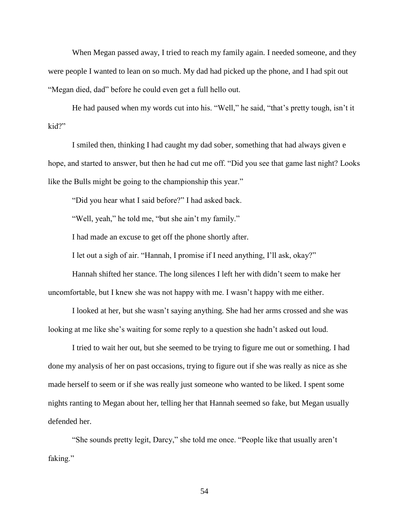When Megan passed away, I tried to reach my family again. I needed someone, and they were people I wanted to lean on so much. My dad had picked up the phone, and I had spit out "Megan died, dad" before he could even get a full hello out.

He had paused when my words cut into his. "Well," he said, "that's pretty tough, isn't it kid?"

I smiled then, thinking I had caught my dad sober, something that had always given e hope, and started to answer, but then he had cut me off. "Did you see that game last night? Looks like the Bulls might be going to the championship this year."

"Did you hear what I said before?" I had asked back.

"Well, yeah," he told me, "but she ain't my family."

I had made an excuse to get off the phone shortly after.

I let out a sigh of air. "Hannah, I promise if I need anything, I'll ask, okay?"

Hannah shifted her stance. The long silences I left her with didn't seem to make her uncomfortable, but I knew she was not happy with me. I wasn't happy with me either.

I looked at her, but she wasn't saying anything. She had her arms crossed and she was looking at me like she's waiting for some reply to a question she hadn't asked out loud.

I tried to wait her out, but she seemed to be trying to figure me out or something. I had done my analysis of her on past occasions, trying to figure out if she was really as nice as she made herself to seem or if she was really just someone who wanted to be liked. I spent some nights ranting to Megan about her, telling her that Hannah seemed so fake, but Megan usually defended her.

"She sounds pretty legit, Darcy," she told me once. "People like that usually aren't faking."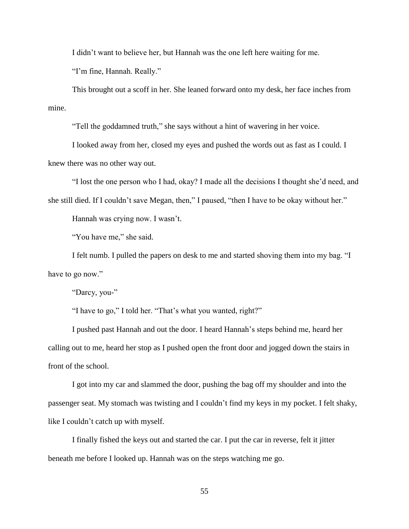I didn't want to believe her, but Hannah was the one left here waiting for me.

"I'm fine, Hannah. Really."

This brought out a scoff in her. She leaned forward onto my desk, her face inches from mine.

"Tell the goddamned truth," she says without a hint of wavering in her voice.

I looked away from her, closed my eyes and pushed the words out as fast as I could. I knew there was no other way out.

"I lost the one person who I had, okay? I made all the decisions I thought she'd need, and she still died. If I couldn't save Megan, then," I paused, "then I have to be okay without her."

Hannah was crying now. I wasn't.

"You have me," she said.

I felt numb. I pulled the papers on desk to me and started shoving them into my bag. "I have to go now."

"Darcy, you-"

"I have to go," I told her. "That's what you wanted, right?"

I pushed past Hannah and out the door. I heard Hannah's steps behind me, heard her calling out to me, heard her stop as I pushed open the front door and jogged down the stairs in front of the school.

I got into my car and slammed the door, pushing the bag off my shoulder and into the passenger seat. My stomach was twisting and I couldn't find my keys in my pocket. I felt shaky, like I couldn't catch up with myself.

I finally fished the keys out and started the car. I put the car in reverse, felt it jitter beneath me before I looked up. Hannah was on the steps watching me go.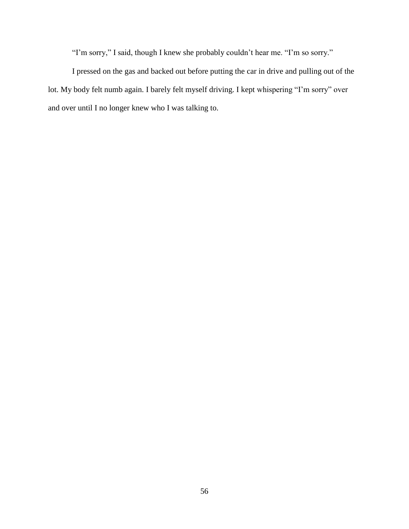"I'm sorry," I said, though I knew she probably couldn't hear me. "I'm so sorry."

I pressed on the gas and backed out before putting the car in drive and pulling out of the lot. My body felt numb again. I barely felt myself driving. I kept whispering "I'm sorry" over and over until I no longer knew who I was talking to.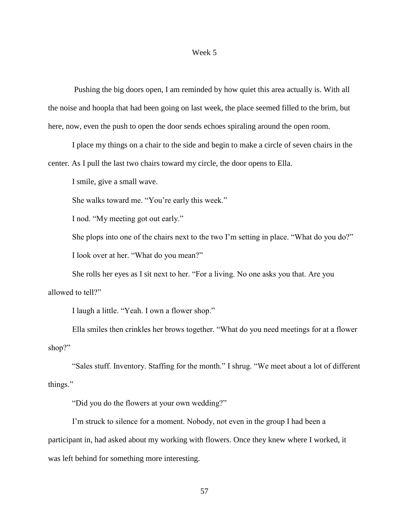# Week 5

Pushing the big doors open, I am reminded by how quiet this area actually is. With all the noise and hoopla that had been going on last week, the place seemed filled to the brim, but here, now, even the push to open the door sends echoes spiraling around the open room.

I place my things on a chair to the side and begin to make a circle of seven chairs in the center. As I pull the last two chairs toward my circle, the door opens to Ella.

I smile, give a small wave.

She walks toward me. "You're early this week."

I nod. "My meeting got out early."

She plops into one of the chairs next to the two I'm setting in place. "What do you do?"

I look over at her. "What do you mean?"

She rolls her eyes as I sit next to her. "For a living. No one asks you that. Are you allowed to tell?"

I laugh a little. "Yeah. I own a flower shop."

Ella smiles then crinkles her brows together. "What do you need meetings for at a flower shop?"

"Sales stuff. Inventory. Staffing for the month." I shrug. "We meet about a lot of different things."

"Did you do the flowers at your own wedding?"

I'm struck to silence for a moment. Nobody, not even in the group I had been a participant in, had asked about my working with flowers. Once they knew where I worked, it was left behind for something more interesting.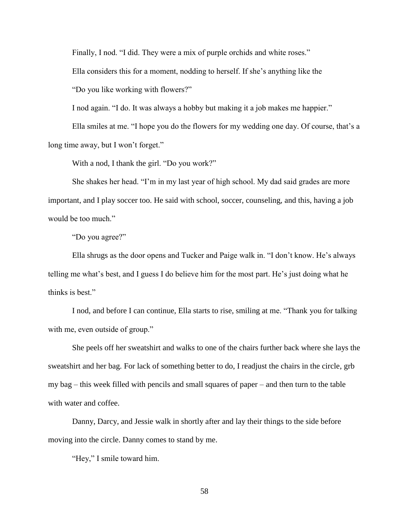Finally, I nod. "I did. They were a mix of purple orchids and white roses."

Ella considers this for a moment, nodding to herself. If she's anything like the

"Do you like working with flowers?"

I nod again. "I do. It was always a hobby but making it a job makes me happier."

Ella smiles at me. "I hope you do the flowers for my wedding one day. Of course, that's a long time away, but I won't forget."

With a nod, I thank the girl. "Do you work?"

She shakes her head. "I'm in my last year of high school. My dad said grades are more important, and I play soccer too. He said with school, soccer, counseling, and this, having a job would be too much."

"Do you agree?"

Ella shrugs as the door opens and Tucker and Paige walk in. "I don't know. He's always telling me what's best, and I guess I do believe him for the most part. He's just doing what he thinks is best."

I nod, and before I can continue, Ella starts to rise, smiling at me. "Thank you for talking with me, even outside of group."

She peels off her sweatshirt and walks to one of the chairs further back where she lays the sweatshirt and her bag. For lack of something better to do, I readjust the chairs in the circle, grb my bag – this week filled with pencils and small squares of paper – and then turn to the table with water and coffee.

Danny, Darcy, and Jessie walk in shortly after and lay their things to the side before moving into the circle. Danny comes to stand by me.

"Hey," I smile toward him.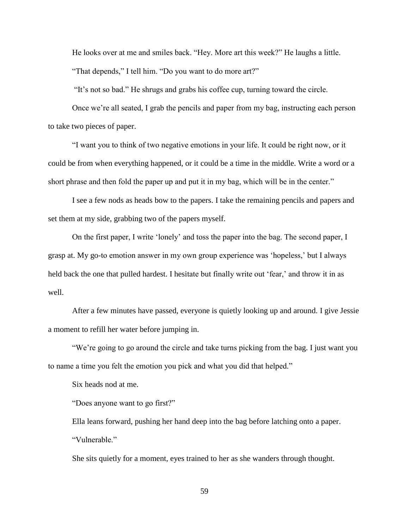He looks over at me and smiles back. "Hey. More art this week?" He laughs a little. "That depends," I tell him. "Do you want to do more art?"

"It's not so bad." He shrugs and grabs his coffee cup, turning toward the circle.

Once we're all seated, I grab the pencils and paper from my bag, instructing each person to take two pieces of paper.

"I want you to think of two negative emotions in your life. It could be right now, or it could be from when everything happened, or it could be a time in the middle. Write a word or a short phrase and then fold the paper up and put it in my bag, which will be in the center."

I see a few nods as heads bow to the papers. I take the remaining pencils and papers and set them at my side, grabbing two of the papers myself.

On the first paper, I write 'lonely' and toss the paper into the bag. The second paper, I grasp at. My go-to emotion answer in my own group experience was 'hopeless,' but I always held back the one that pulled hardest. I hesitate but finally write out 'fear,' and throw it in as well.

After a few minutes have passed, everyone is quietly looking up and around. I give Jessie a moment to refill her water before jumping in.

"We're going to go around the circle and take turns picking from the bag. I just want you to name a time you felt the emotion you pick and what you did that helped."

Six heads nod at me.

"Does anyone want to go first?"

Ella leans forward, pushing her hand deep into the bag before latching onto a paper. "Vulnerable."

She sits quietly for a moment, eyes trained to her as she wanders through thought.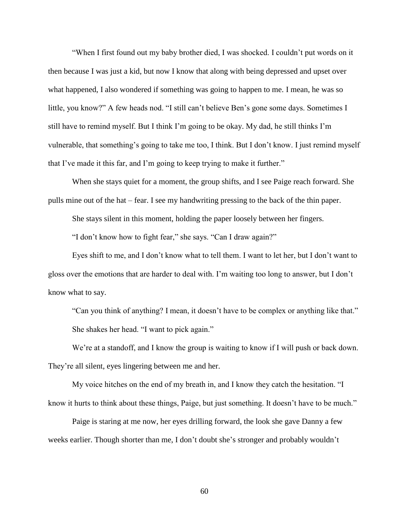"When I first found out my baby brother died, I was shocked. I couldn't put words on it then because I was just a kid, but now I know that along with being depressed and upset over what happened, I also wondered if something was going to happen to me. I mean, he was so little, you know?" A few heads nod. "I still can't believe Ben's gone some days. Sometimes I still have to remind myself. But I think I'm going to be okay. My dad, he still thinks I'm vulnerable, that something's going to take me too, I think. But I don't know. I just remind myself that I've made it this far, and I'm going to keep trying to make it further."

When she stays quiet for a moment, the group shifts, and I see Paige reach forward. She pulls mine out of the hat – fear. I see my handwriting pressing to the back of the thin paper.

She stays silent in this moment, holding the paper loosely between her fingers.

"I don't know how to fight fear," she says. "Can I draw again?"

Eyes shift to me, and I don't know what to tell them. I want to let her, but I don't want to gloss over the emotions that are harder to deal with. I'm waiting too long to answer, but I don't know what to say.

"Can you think of anything? I mean, it doesn't have to be complex or anything like that." She shakes her head. "I want to pick again."

We're at a standoff, and I know the group is waiting to know if I will push or back down. They're all silent, eyes lingering between me and her.

My voice hitches on the end of my breath in, and I know they catch the hesitation. "I know it hurts to think about these things, Paige, but just something. It doesn't have to be much."

Paige is staring at me now, her eyes drilling forward, the look she gave Danny a few weeks earlier. Though shorter than me, I don't doubt she's stronger and probably wouldn't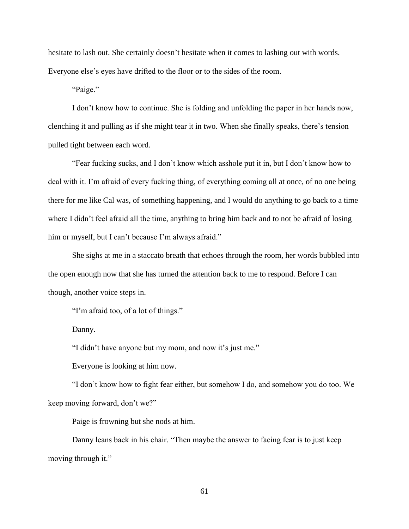hesitate to lash out. She certainly doesn't hesitate when it comes to lashing out with words. Everyone else's eyes have drifted to the floor or to the sides of the room.

"Paige."

I don't know how to continue. She is folding and unfolding the paper in her hands now, clenching it and pulling as if she might tear it in two. When she finally speaks, there's tension pulled tight between each word.

"Fear fucking sucks, and I don't know which asshole put it in, but I don't know how to deal with it. I'm afraid of every fucking thing, of everything coming all at once, of no one being there for me like Cal was, of something happening, and I would do anything to go back to a time where I didn't feel afraid all the time, anything to bring him back and to not be afraid of losing him or myself, but I can't because I'm always afraid."

She sighs at me in a staccato breath that echoes through the room, her words bubbled into the open enough now that she has turned the attention back to me to respond. Before I can though, another voice steps in.

"I'm afraid too, of a lot of things."

Danny.

"I didn't have anyone but my mom, and now it's just me."

Everyone is looking at him now.

"I don't know how to fight fear either, but somehow I do, and somehow you do too. We keep moving forward, don't we?"

Paige is frowning but she nods at him.

Danny leans back in his chair. "Then maybe the answer to facing fear is to just keep moving through it."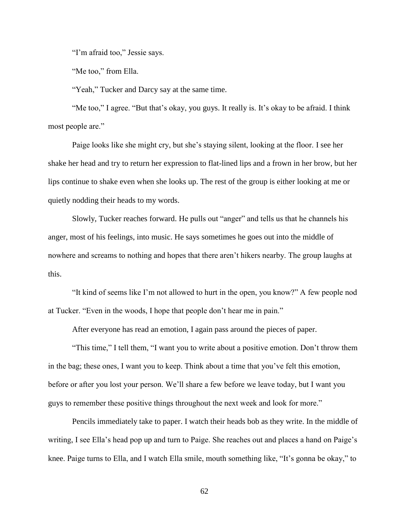"I'm afraid too," Jessie says.

"Me too," from Ella.

"Yeah," Tucker and Darcy say at the same time.

"Me too," I agree. "But that's okay, you guys. It really is. It's okay to be afraid. I think most people are."

Paige looks like she might cry, but she's staying silent, looking at the floor. I see her shake her head and try to return her expression to flat-lined lips and a frown in her brow, but her lips continue to shake even when she looks up. The rest of the group is either looking at me or quietly nodding their heads to my words.

Slowly, Tucker reaches forward. He pulls out "anger" and tells us that he channels his anger, most of his feelings, into music. He says sometimes he goes out into the middle of nowhere and screams to nothing and hopes that there aren't hikers nearby. The group laughs at this.

"It kind of seems like I'm not allowed to hurt in the open, you know?" A few people nod at Tucker. "Even in the woods, I hope that people don't hear me in pain."

After everyone has read an emotion, I again pass around the pieces of paper.

"This time," I tell them, "I want you to write about a positive emotion. Don't throw them in the bag; these ones, I want you to keep. Think about a time that you've felt this emotion, before or after you lost your person. We'll share a few before we leave today, but I want you guys to remember these positive things throughout the next week and look for more."

Pencils immediately take to paper. I watch their heads bob as they write. In the middle of writing, I see Ella's head pop up and turn to Paige. She reaches out and places a hand on Paige's knee. Paige turns to Ella, and I watch Ella smile, mouth something like, "It's gonna be okay," to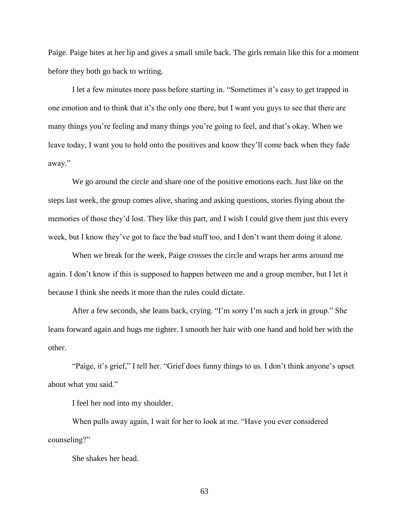Paige. Paige bites at her lip and gives a small smile back. The girls remain like this for a moment before they both go back to writing.

I let a few minutes more pass before starting in. "Sometimes it's easy to get trapped in one emotion and to think that it's the only one there, but I want you guys to see that there are many things you're feeling and many things you're going to feel, and that's okay. When we leave today, I want you to hold onto the positives and know they'll come back when they fade away."

We go around the circle and share one of the positive emotions each. Just like on the steps last week, the group comes alive, sharing and asking questions, stories flying about the memories of those they'd lost. They like this part, and I wish I could give them just this every week, but I know they've got to face the bad stuff too, and I don't want them doing it alone.

When we break for the week, Paige crosses the circle and wraps her arms around me again. I don't know if this is supposed to happen between me and a group member, but I let it because I think she needs it more than the rules could dictate.

After a few seconds, she leans back, crying. "I'm sorry I'm such a jerk in group." She leans forward again and hugs me tighter. I smooth her hair with one hand and hold her with the other.

"Paige, it's grief," I tell her. "Grief does funny things to us. I don't think anyone's upset about what you said."

I feel her nod into my shoulder.

When pulls away again, I wait for her to look at me. "Have you ever considered counseling?"

She shakes her head.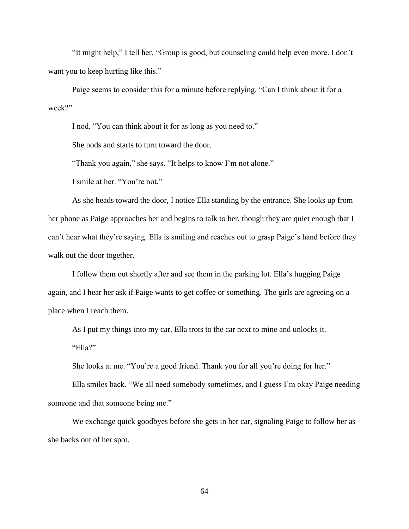"It might help," I tell her. "Group is good, but counseling could help even more. I don't want you to keep hurting like this."

Paige seems to consider this for a minute before replying. "Can I think about it for a week?"

I nod. "You can think about it for as long as you need to."

She nods and starts to turn toward the door.

"Thank you again," she says. "It helps to know I'm not alone."

I smile at her. "You're not."

As she heads toward the door, I notice Ella standing by the entrance. She looks up from her phone as Paige approaches her and begins to talk to her, though they are quiet enough that I can't hear what they're saying. Ella is smiling and reaches out to grasp Paige's hand before they walk out the door together.

I follow them out shortly after and see them in the parking lot. Ella's hugging Paige again, and I hear her ask if Paige wants to get coffee or something. The girls are agreeing on a place when I reach them.

As I put my things into my car, Ella trots to the car next to mine and unlocks it. "Ella?"

She looks at me. "You're a good friend. Thank you for all you're doing for her."

Ella smiles back. "We all need somebody sometimes, and I guess I'm okay Paige needing someone and that someone being me."

We exchange quick goodbyes before she gets in her car, signaling Paige to follow her as she backs out of her spot.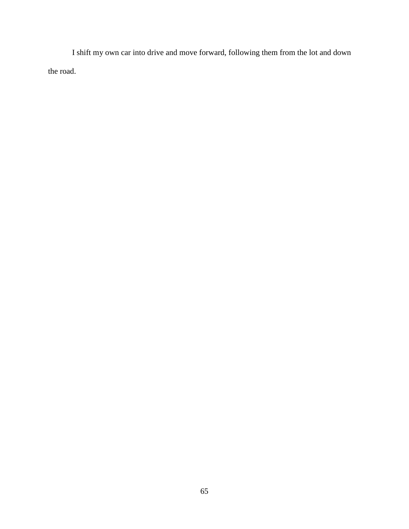I shift my own car into drive and move forward, following them from the lot and down the road.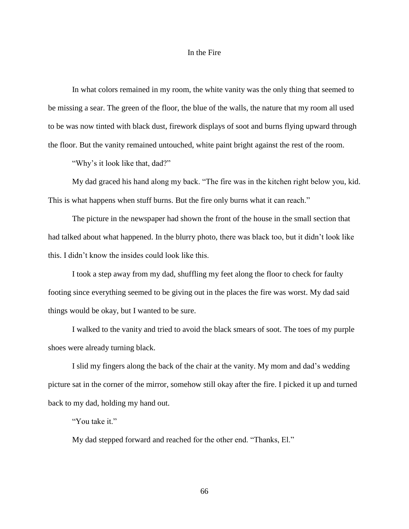# In the Fire

In what colors remained in my room, the white vanity was the only thing that seemed to be missing a sear. The green of the floor, the blue of the walls, the nature that my room all used to be was now tinted with black dust, firework displays of soot and burns flying upward through the floor. But the vanity remained untouched, white paint bright against the rest of the room.

"Why's it look like that, dad?"

My dad graced his hand along my back. "The fire was in the kitchen right below you, kid. This is what happens when stuff burns. But the fire only burns what it can reach."

The picture in the newspaper had shown the front of the house in the small section that had talked about what happened. In the blurry photo, there was black too, but it didn't look like this. I didn't know the insides could look like this.

I took a step away from my dad, shuffling my feet along the floor to check for faulty footing since everything seemed to be giving out in the places the fire was worst. My dad said things would be okay, but I wanted to be sure.

I walked to the vanity and tried to avoid the black smears of soot. The toes of my purple shoes were already turning black.

I slid my fingers along the back of the chair at the vanity. My mom and dad's wedding picture sat in the corner of the mirror, somehow still okay after the fire. I picked it up and turned back to my dad, holding my hand out.

"You take it."

My dad stepped forward and reached for the other end. "Thanks, El."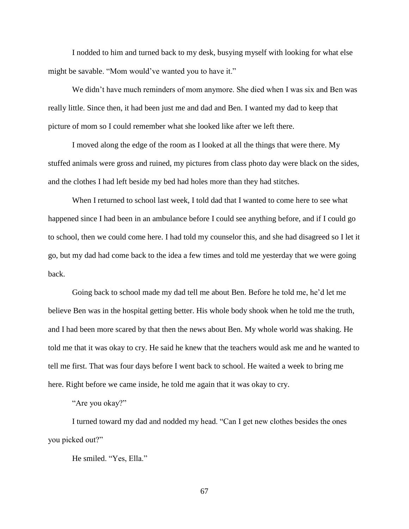I nodded to him and turned back to my desk, busying myself with looking for what else might be savable. "Mom would've wanted you to have it."

We didn't have much reminders of mom anymore. She died when I was six and Ben was really little. Since then, it had been just me and dad and Ben. I wanted my dad to keep that picture of mom so I could remember what she looked like after we left there.

I moved along the edge of the room as I looked at all the things that were there. My stuffed animals were gross and ruined, my pictures from class photo day were black on the sides, and the clothes I had left beside my bed had holes more than they had stitches.

When I returned to school last week, I told dad that I wanted to come here to see what happened since I had been in an ambulance before I could see anything before, and if I could go to school, then we could come here. I had told my counselor this, and she had disagreed so I let it go, but my dad had come back to the idea a few times and told me yesterday that we were going back.

Going back to school made my dad tell me about Ben. Before he told me, he'd let me believe Ben was in the hospital getting better. His whole body shook when he told me the truth, and I had been more scared by that then the news about Ben. My whole world was shaking. He told me that it was okay to cry. He said he knew that the teachers would ask me and he wanted to tell me first. That was four days before I went back to school. He waited a week to bring me here. Right before we came inside, he told me again that it was okay to cry.

"Are you okay?"

I turned toward my dad and nodded my head. "Can I get new clothes besides the ones you picked out?"

He smiled. "Yes, Ella."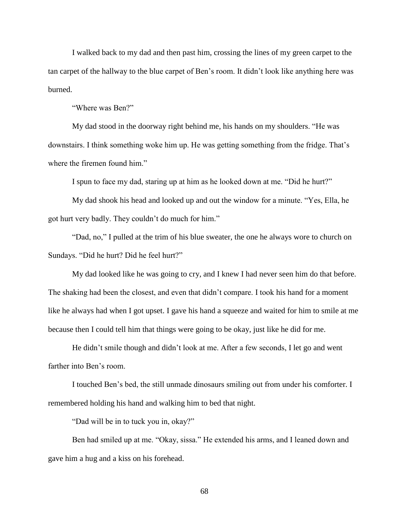I walked back to my dad and then past him, crossing the lines of my green carpet to the tan carpet of the hallway to the blue carpet of Ben's room. It didn't look like anything here was burned.

"Where was Ben?"

My dad stood in the doorway right behind me, his hands on my shoulders. "He was downstairs. I think something woke him up. He was getting something from the fridge. That's where the firemen found him."

I spun to face my dad, staring up at him as he looked down at me. "Did he hurt?"

My dad shook his head and looked up and out the window for a minute. "Yes, Ella, he got hurt very badly. They couldn't do much for him."

"Dad, no," I pulled at the trim of his blue sweater, the one he always wore to church on Sundays. "Did he hurt? Did he feel hurt?"

My dad looked like he was going to cry, and I knew I had never seen him do that before. The shaking had been the closest, and even that didn't compare. I took his hand for a moment like he always had when I got upset. I gave his hand a squeeze and waited for him to smile at me because then I could tell him that things were going to be okay, just like he did for me.

He didn't smile though and didn't look at me. After a few seconds, I let go and went farther into Ben's room.

I touched Ben's bed, the still unmade dinosaurs smiling out from under his comforter. I remembered holding his hand and walking him to bed that night.

"Dad will be in to tuck you in, okay?"

Ben had smiled up at me. "Okay, sissa." He extended his arms, and I leaned down and gave him a hug and a kiss on his forehead.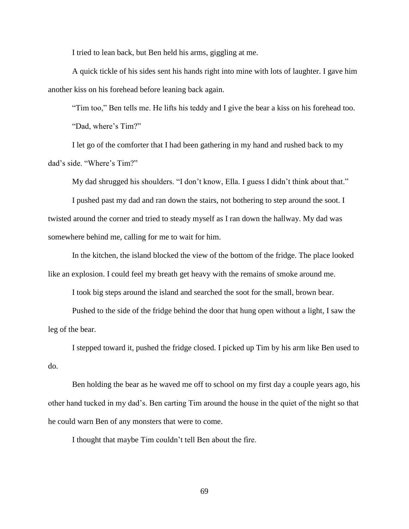I tried to lean back, but Ben held his arms, giggling at me.

A quick tickle of his sides sent his hands right into mine with lots of laughter. I gave him another kiss on his forehead before leaning back again.

"Tim too," Ben tells me. He lifts his teddy and I give the bear a kiss on his forehead too. "Dad, where's Tim?"

I let go of the comforter that I had been gathering in my hand and rushed back to my dad's side. "Where's Tim?"

My dad shrugged his shoulders. "I don't know, Ella. I guess I didn't think about that."

I pushed past my dad and ran down the stairs, not bothering to step around the soot. I twisted around the corner and tried to steady myself as I ran down the hallway. My dad was somewhere behind me, calling for me to wait for him.

In the kitchen, the island blocked the view of the bottom of the fridge. The place looked like an explosion. I could feel my breath get heavy with the remains of smoke around me.

I took big steps around the island and searched the soot for the small, brown bear.

Pushed to the side of the fridge behind the door that hung open without a light, I saw the leg of the bear.

I stepped toward it, pushed the fridge closed. I picked up Tim by his arm like Ben used to do.

Ben holding the bear as he waved me off to school on my first day a couple years ago, his other hand tucked in my dad's. Ben carting Tim around the house in the quiet of the night so that he could warn Ben of any monsters that were to come.

I thought that maybe Tim couldn't tell Ben about the fire.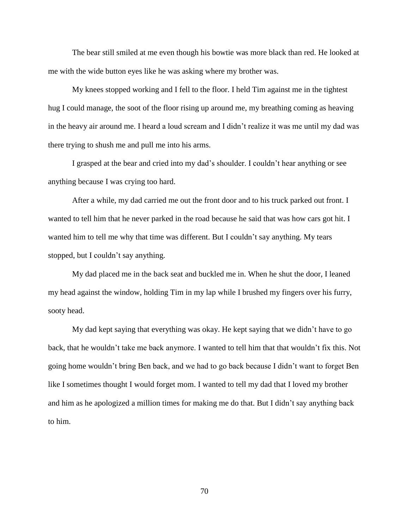The bear still smiled at me even though his bowtie was more black than red. He looked at me with the wide button eyes like he was asking where my brother was.

My knees stopped working and I fell to the floor. I held Tim against me in the tightest hug I could manage, the soot of the floor rising up around me, my breathing coming as heaving in the heavy air around me. I heard a loud scream and I didn't realize it was me until my dad was there trying to shush me and pull me into his arms.

I grasped at the bear and cried into my dad's shoulder. I couldn't hear anything or see anything because I was crying too hard.

After a while, my dad carried me out the front door and to his truck parked out front. I wanted to tell him that he never parked in the road because he said that was how cars got hit. I wanted him to tell me why that time was different. But I couldn't say anything. My tears stopped, but I couldn't say anything.

My dad placed me in the back seat and buckled me in. When he shut the door, I leaned my head against the window, holding Tim in my lap while I brushed my fingers over his furry, sooty head.

My dad kept saying that everything was okay. He kept saying that we didn't have to go back, that he wouldn't take me back anymore. I wanted to tell him that that wouldn't fix this. Not going home wouldn't bring Ben back, and we had to go back because I didn't want to forget Ben like I sometimes thought I would forget mom. I wanted to tell my dad that I loved my brother and him as he apologized a million times for making me do that. But I didn't say anything back to him.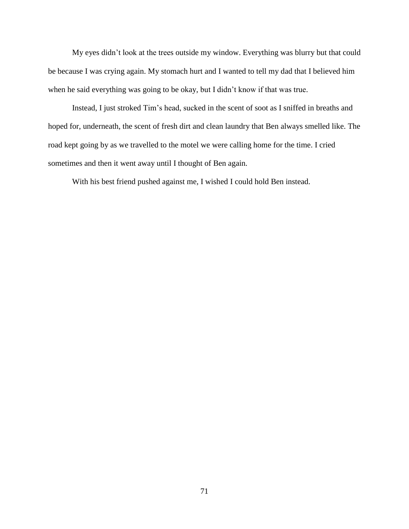My eyes didn't look at the trees outside my window. Everything was blurry but that could be because I was crying again. My stomach hurt and I wanted to tell my dad that I believed him when he said everything was going to be okay, but I didn't know if that was true.

Instead, I just stroked Tim's head, sucked in the scent of soot as I sniffed in breaths and hoped for, underneath, the scent of fresh dirt and clean laundry that Ben always smelled like. The road kept going by as we travelled to the motel we were calling home for the time. I cried sometimes and then it went away until I thought of Ben again.

With his best friend pushed against me, I wished I could hold Ben instead.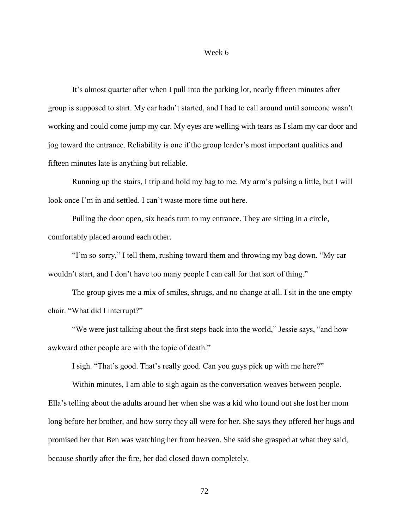#### Week 6

It's almost quarter after when I pull into the parking lot, nearly fifteen minutes after group is supposed to start. My car hadn't started, and I had to call around until someone wasn't working and could come jump my car. My eyes are welling with tears as I slam my car door and jog toward the entrance. Reliability is one if the group leader's most important qualities and fifteen minutes late is anything but reliable.

Running up the stairs, I trip and hold my bag to me. My arm's pulsing a little, but I will look once I'm in and settled. I can't waste more time out here.

Pulling the door open, six heads turn to my entrance. They are sitting in a circle, comfortably placed around each other.

"I'm so sorry," I tell them, rushing toward them and throwing my bag down. "My car wouldn't start, and I don't have too many people I can call for that sort of thing."

The group gives me a mix of smiles, shrugs, and no change at all. I sit in the one empty chair. "What did I interrupt?"

"We were just talking about the first steps back into the world," Jessie says, "and how awkward other people are with the topic of death."

I sigh. "That's good. That's really good. Can you guys pick up with me here?"

Within minutes, I am able to sigh again as the conversation weaves between people. Ella's telling about the adults around her when she was a kid who found out she lost her mom long before her brother, and how sorry they all were for her. She says they offered her hugs and promised her that Ben was watching her from heaven. She said she grasped at what they said, because shortly after the fire, her dad closed down completely.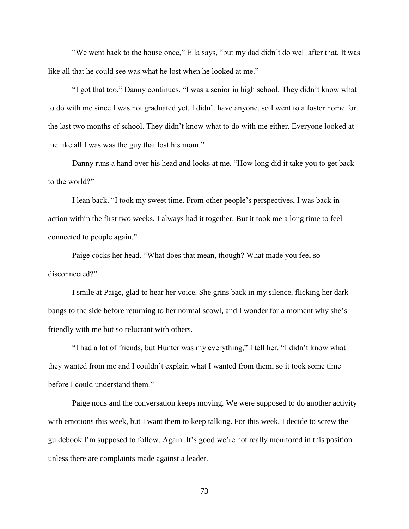"We went back to the house once," Ella says, "but my dad didn't do well after that. It was like all that he could see was what he lost when he looked at me."

"I got that too," Danny continues. "I was a senior in high school. They didn't know what to do with me since I was not graduated yet. I didn't have anyone, so I went to a foster home for the last two months of school. They didn't know what to do with me either. Everyone looked at me like all I was was the guy that lost his mom."

Danny runs a hand over his head and looks at me. "How long did it take you to get back to the world?"

I lean back. "I took my sweet time. From other people's perspectives, I was back in action within the first two weeks. I always had it together. But it took me a long time to feel connected to people again."

Paige cocks her head. "What does that mean, though? What made you feel so disconnected?"

I smile at Paige, glad to hear her voice. She grins back in my silence, flicking her dark bangs to the side before returning to her normal scowl, and I wonder for a moment why she's friendly with me but so reluctant with others.

"I had a lot of friends, but Hunter was my everything," I tell her. "I didn't know what they wanted from me and I couldn't explain what I wanted from them, so it took some time before I could understand them."

Paige nods and the conversation keeps moving. We were supposed to do another activity with emotions this week, but I want them to keep talking. For this week, I decide to screw the guidebook I'm supposed to follow. Again. It's good we're not really monitored in this position unless there are complaints made against a leader.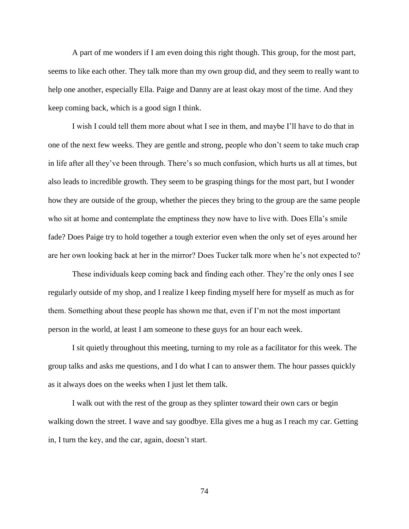A part of me wonders if I am even doing this right though. This group, for the most part, seems to like each other. They talk more than my own group did, and they seem to really want to help one another, especially Ella. Paige and Danny are at least okay most of the time. And they keep coming back, which is a good sign I think.

I wish I could tell them more about what I see in them, and maybe I'll have to do that in one of the next few weeks. They are gentle and strong, people who don't seem to take much crap in life after all they've been through. There's so much confusion, which hurts us all at times, but also leads to incredible growth. They seem to be grasping things for the most part, but I wonder how they are outside of the group, whether the pieces they bring to the group are the same people who sit at home and contemplate the emptiness they now have to live with. Does Ella's smile fade? Does Paige try to hold together a tough exterior even when the only set of eyes around her are her own looking back at her in the mirror? Does Tucker talk more when he's not expected to?

These individuals keep coming back and finding each other. They're the only ones I see regularly outside of my shop, and I realize I keep finding myself here for myself as much as for them. Something about these people has shown me that, even if I'm not the most important person in the world, at least I am someone to these guys for an hour each week.

I sit quietly throughout this meeting, turning to my role as a facilitator for this week. The group talks and asks me questions, and I do what I can to answer them. The hour passes quickly as it always does on the weeks when I just let them talk.

I walk out with the rest of the group as they splinter toward their own cars or begin walking down the street. I wave and say goodbye. Ella gives me a hug as I reach my car. Getting in, I turn the key, and the car, again, doesn't start.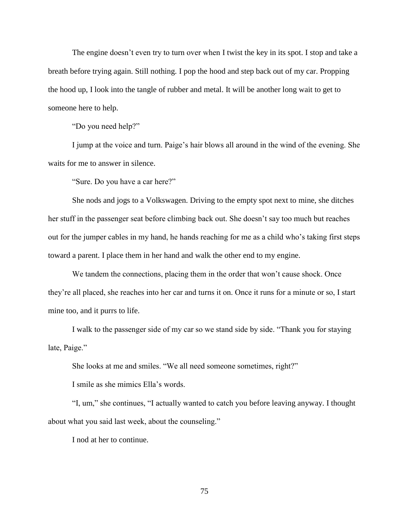The engine doesn't even try to turn over when I twist the key in its spot. I stop and take a breath before trying again. Still nothing. I pop the hood and step back out of my car. Propping the hood up, I look into the tangle of rubber and metal. It will be another long wait to get to someone here to help.

"Do you need help?"

I jump at the voice and turn. Paige's hair blows all around in the wind of the evening. She waits for me to answer in silence.

"Sure. Do you have a car here?"

She nods and jogs to a Volkswagen. Driving to the empty spot next to mine, she ditches her stuff in the passenger seat before climbing back out. She doesn't say too much but reaches out for the jumper cables in my hand, he hands reaching for me as a child who's taking first steps toward a parent. I place them in her hand and walk the other end to my engine.

We tandem the connections, placing them in the order that won't cause shock. Once they're all placed, she reaches into her car and turns it on. Once it runs for a minute or so, I start mine too, and it purrs to life.

I walk to the passenger side of my car so we stand side by side. "Thank you for staying late, Paige."

She looks at me and smiles. "We all need someone sometimes, right?"

I smile as she mimics Ella's words.

"I, um," she continues, "I actually wanted to catch you before leaving anyway. I thought about what you said last week, about the counseling."

I nod at her to continue.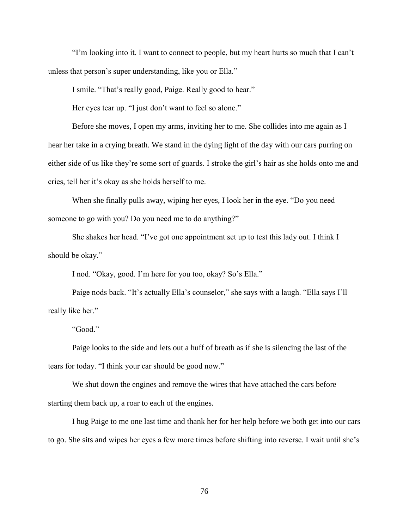"I'm looking into it. I want to connect to people, but my heart hurts so much that I can't unless that person's super understanding, like you or Ella."

I smile. "That's really good, Paige. Really good to hear."

Her eyes tear up. "I just don't want to feel so alone."

Before she moves, I open my arms, inviting her to me. She collides into me again as I hear her take in a crying breath. We stand in the dying light of the day with our cars purring on either side of us like they're some sort of guards. I stroke the girl's hair as she holds onto me and cries, tell her it's okay as she holds herself to me.

When she finally pulls away, wiping her eyes, I look her in the eye. "Do you need someone to go with you? Do you need me to do anything?"

She shakes her head. "I've got one appointment set up to test this lady out. I think I should be okay."

I nod. "Okay, good. I'm here for you too, okay? So's Ella."

Paige nods back. "It's actually Ella's counselor," she says with a laugh. "Ella says I'll really like her."

"Good."

Paige looks to the side and lets out a huff of breath as if she is silencing the last of the tears for today. "I think your car should be good now."

We shut down the engines and remove the wires that have attached the cars before starting them back up, a roar to each of the engines.

I hug Paige to me one last time and thank her for her help before we both get into our cars to go. She sits and wipes her eyes a few more times before shifting into reverse. I wait until she's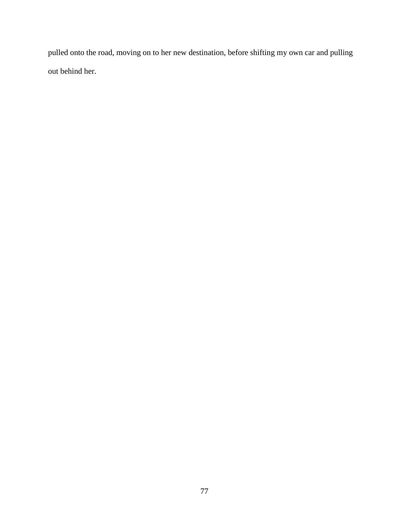pulled onto the road, moving on to her new destination, before shifting my own car and pulling out behind her.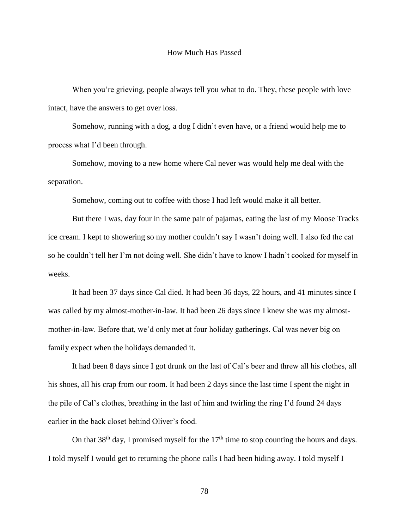## How Much Has Passed

When you're grieving, people always tell you what to do. They, these people with love intact, have the answers to get over loss.

Somehow, running with a dog, a dog I didn't even have, or a friend would help me to process what I'd been through.

Somehow, moving to a new home where Cal never was would help me deal with the separation.

Somehow, coming out to coffee with those I had left would make it all better.

But there I was, day four in the same pair of pajamas, eating the last of my Moose Tracks ice cream. I kept to showering so my mother couldn't say I wasn't doing well. I also fed the cat so he couldn't tell her I'm not doing well. She didn't have to know I hadn't cooked for myself in weeks.

It had been 37 days since Cal died. It had been 36 days, 22 hours, and 41 minutes since I was called by my almost-mother-in-law. It had been 26 days since I knew she was my almostmother-in-law. Before that, we'd only met at four holiday gatherings. Cal was never big on family expect when the holidays demanded it.

It had been 8 days since I got drunk on the last of Cal's beer and threw all his clothes, all his shoes, all his crap from our room. It had been 2 days since the last time I spent the night in the pile of Cal's clothes, breathing in the last of him and twirling the ring I'd found 24 days earlier in the back closet behind Oliver's food.

On that  $38<sup>th</sup>$  day, I promised myself for the  $17<sup>th</sup>$  time to stop counting the hours and days. I told myself I would get to returning the phone calls I had been hiding away. I told myself I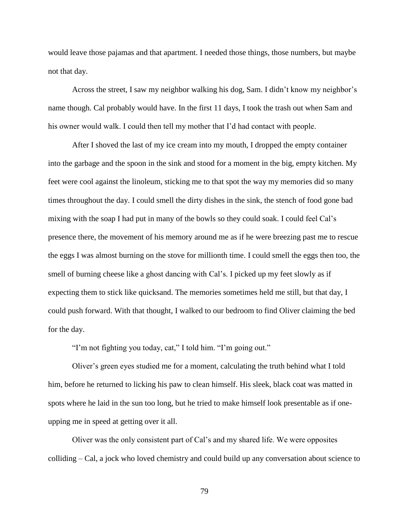would leave those pajamas and that apartment. I needed those things, those numbers, but maybe not that day.

Across the street, I saw my neighbor walking his dog, Sam. I didn't know my neighbor's name though. Cal probably would have. In the first 11 days, I took the trash out when Sam and his owner would walk. I could then tell my mother that I'd had contact with people.

After I shoved the last of my ice cream into my mouth, I dropped the empty container into the garbage and the spoon in the sink and stood for a moment in the big, empty kitchen. My feet were cool against the linoleum, sticking me to that spot the way my memories did so many times throughout the day. I could smell the dirty dishes in the sink, the stench of food gone bad mixing with the soap I had put in many of the bowls so they could soak. I could feel Cal's presence there, the movement of his memory around me as if he were breezing past me to rescue the eggs I was almost burning on the stove for millionth time. I could smell the eggs then too, the smell of burning cheese like a ghost dancing with Cal's. I picked up my feet slowly as if expecting them to stick like quicksand. The memories sometimes held me still, but that day, I could push forward. With that thought, I walked to our bedroom to find Oliver claiming the bed for the day.

"I'm not fighting you today, cat," I told him. "I'm going out."

Oliver's green eyes studied me for a moment, calculating the truth behind what I told him, before he returned to licking his paw to clean himself. His sleek, black coat was matted in spots where he laid in the sun too long, but he tried to make himself look presentable as if oneupping me in speed at getting over it all.

Oliver was the only consistent part of Cal's and my shared life. We were opposites colliding – Cal, a jock who loved chemistry and could build up any conversation about science to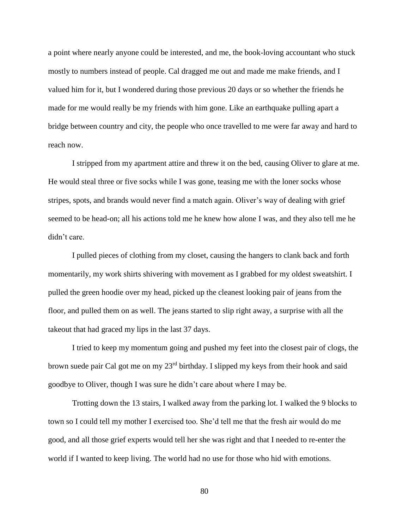a point where nearly anyone could be interested, and me, the book-loving accountant who stuck mostly to numbers instead of people. Cal dragged me out and made me make friends, and I valued him for it, but I wondered during those previous 20 days or so whether the friends he made for me would really be my friends with him gone. Like an earthquake pulling apart a bridge between country and city, the people who once travelled to me were far away and hard to reach now.

I stripped from my apartment attire and threw it on the bed, causing Oliver to glare at me. He would steal three or five socks while I was gone, teasing me with the loner socks whose stripes, spots, and brands would never find a match again. Oliver's way of dealing with grief seemed to be head-on; all his actions told me he knew how alone I was, and they also tell me he didn't care.

I pulled pieces of clothing from my closet, causing the hangers to clank back and forth momentarily, my work shirts shivering with movement as I grabbed for my oldest sweatshirt. I pulled the green hoodie over my head, picked up the cleanest looking pair of jeans from the floor, and pulled them on as well. The jeans started to slip right away, a surprise with all the takeout that had graced my lips in the last 37 days.

I tried to keep my momentum going and pushed my feet into the closest pair of clogs, the brown suede pair Cal got me on my 23rd birthday. I slipped my keys from their hook and said goodbye to Oliver, though I was sure he didn't care about where I may be.

Trotting down the 13 stairs, I walked away from the parking lot. I walked the 9 blocks to town so I could tell my mother I exercised too. She'd tell me that the fresh air would do me good, and all those grief experts would tell her she was right and that I needed to re-enter the world if I wanted to keep living. The world had no use for those who hid with emotions.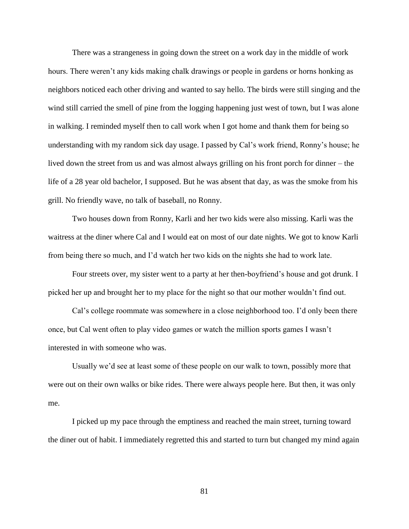There was a strangeness in going down the street on a work day in the middle of work hours. There weren't any kids making chalk drawings or people in gardens or horns honking as neighbors noticed each other driving and wanted to say hello. The birds were still singing and the wind still carried the smell of pine from the logging happening just west of town, but I was alone in walking. I reminded myself then to call work when I got home and thank them for being so understanding with my random sick day usage. I passed by Cal's work friend, Ronny's house; he lived down the street from us and was almost always grilling on his front porch for dinner – the life of a 28 year old bachelor, I supposed. But he was absent that day, as was the smoke from his grill. No friendly wave, no talk of baseball, no Ronny.

Two houses down from Ronny, Karli and her two kids were also missing. Karli was the waitress at the diner where Cal and I would eat on most of our date nights. We got to know Karli from being there so much, and I'd watch her two kids on the nights she had to work late.

Four streets over, my sister went to a party at her then-boyfriend's house and got drunk. I picked her up and brought her to my place for the night so that our mother wouldn't find out.

Cal's college roommate was somewhere in a close neighborhood too. I'd only been there once, but Cal went often to play video games or watch the million sports games I wasn't interested in with someone who was.

Usually we'd see at least some of these people on our walk to town, possibly more that were out on their own walks or bike rides. There were always people here. But then, it was only me.

I picked up my pace through the emptiness and reached the main street, turning toward the diner out of habit. I immediately regretted this and started to turn but changed my mind again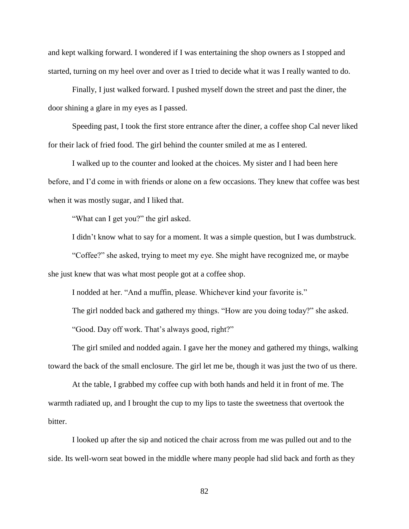and kept walking forward. I wondered if I was entertaining the shop owners as I stopped and started, turning on my heel over and over as I tried to decide what it was I really wanted to do.

Finally, I just walked forward. I pushed myself down the street and past the diner, the door shining a glare in my eyes as I passed.

Speeding past, I took the first store entrance after the diner, a coffee shop Cal never liked for their lack of fried food. The girl behind the counter smiled at me as I entered.

I walked up to the counter and looked at the choices. My sister and I had been here before, and I'd come in with friends or alone on a few occasions. They knew that coffee was best when it was mostly sugar, and I liked that.

"What can I get you?" the girl asked.

I didn't know what to say for a moment. It was a simple question, but I was dumbstruck.

"Coffee?" she asked, trying to meet my eye. She might have recognized me, or maybe she just knew that was what most people got at a coffee shop.

I nodded at her. "And a muffin, please. Whichever kind your favorite is."

The girl nodded back and gathered my things. "How are you doing today?" she asked.

"Good. Day off work. That's always good, right?"

The girl smiled and nodded again. I gave her the money and gathered my things, walking toward the back of the small enclosure. The girl let me be, though it was just the two of us there.

At the table, I grabbed my coffee cup with both hands and held it in front of me. The warmth radiated up, and I brought the cup to my lips to taste the sweetness that overtook the bitter.

I looked up after the sip and noticed the chair across from me was pulled out and to the side. Its well-worn seat bowed in the middle where many people had slid back and forth as they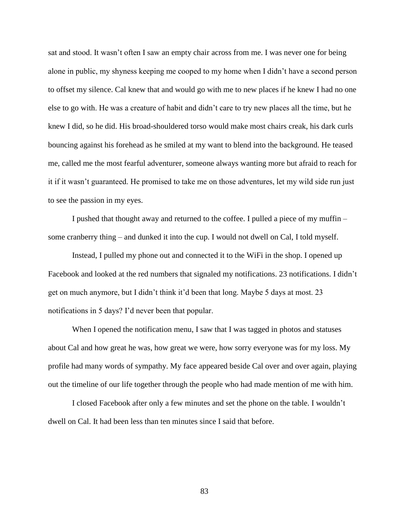sat and stood. It wasn't often I saw an empty chair across from me. I was never one for being alone in public, my shyness keeping me cooped to my home when I didn't have a second person to offset my silence. Cal knew that and would go with me to new places if he knew I had no one else to go with. He was a creature of habit and didn't care to try new places all the time, but he knew I did, so he did. His broad-shouldered torso would make most chairs creak, his dark curls bouncing against his forehead as he smiled at my want to blend into the background. He teased me, called me the most fearful adventurer, someone always wanting more but afraid to reach for it if it wasn't guaranteed. He promised to take me on those adventures, let my wild side run just to see the passion in my eyes.

I pushed that thought away and returned to the coffee. I pulled a piece of my muffin – some cranberry thing – and dunked it into the cup. I would not dwell on Cal, I told myself.

Instead, I pulled my phone out and connected it to the WiFi in the shop. I opened up Facebook and looked at the red numbers that signaled my notifications. 23 notifications. I didn't get on much anymore, but I didn't think it'd been that long. Maybe 5 days at most. 23 notifications in 5 days? I'd never been that popular.

When I opened the notification menu, I saw that I was tagged in photos and statuses about Cal and how great he was, how great we were, how sorry everyone was for my loss. My profile had many words of sympathy. My face appeared beside Cal over and over again, playing out the timeline of our life together through the people who had made mention of me with him.

I closed Facebook after only a few minutes and set the phone on the table. I wouldn't dwell on Cal. It had been less than ten minutes since I said that before.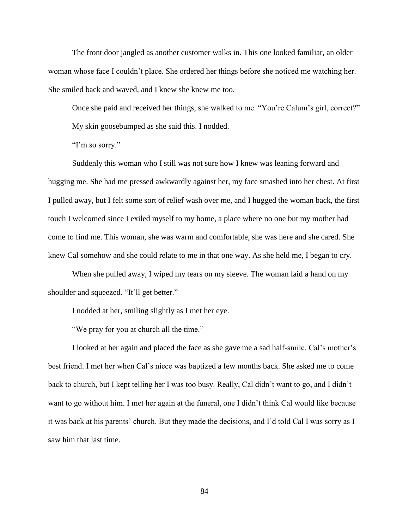The front door jangled as another customer walks in. This one looked familiar, an older woman whose face I couldn't place. She ordered her things before she noticed me watching her. She smiled back and waved, and I knew she knew me too.

Once she paid and received her things, she walked to me. "You're Calum's girl, correct?" My skin goosebumped as she said this. I nodded.

"I'm so sorry."

Suddenly this woman who I still was not sure how I knew was leaning forward and hugging me. She had me pressed awkwardly against her, my face smashed into her chest. At first I pulled away, but I felt some sort of relief wash over me, and I hugged the woman back, the first touch I welcomed since I exiled myself to my home, a place where no one but my mother had come to find me. This woman, she was warm and comfortable, she was here and she cared. She knew Cal somehow and she could relate to me in that one way. As she held me, I began to cry.

When she pulled away, I wiped my tears on my sleeve. The woman laid a hand on my shoulder and squeezed. "It'll get better."

I nodded at her, smiling slightly as I met her eye.

"We pray for you at church all the time."

I looked at her again and placed the face as she gave me a sad half-smile. Cal's mother's best friend. I met her when Cal's niece was baptized a few months back. She asked me to come back to church, but I kept telling her I was too busy. Really, Cal didn't want to go, and I didn't want to go without him. I met her again at the funeral, one I didn't think Cal would like because it was back at his parents' church. But they made the decisions, and I'd told Cal I was sorry as I saw him that last time.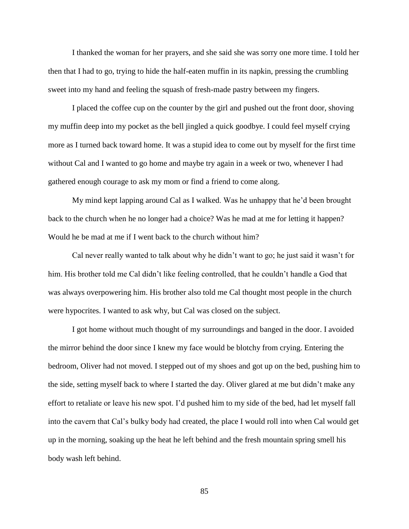I thanked the woman for her prayers, and she said she was sorry one more time. I told her then that I had to go, trying to hide the half-eaten muffin in its napkin, pressing the crumbling sweet into my hand and feeling the squash of fresh-made pastry between my fingers.

I placed the coffee cup on the counter by the girl and pushed out the front door, shoving my muffin deep into my pocket as the bell jingled a quick goodbye. I could feel myself crying more as I turned back toward home. It was a stupid idea to come out by myself for the first time without Cal and I wanted to go home and maybe try again in a week or two, whenever I had gathered enough courage to ask my mom or find a friend to come along.

My mind kept lapping around Cal as I walked. Was he unhappy that he'd been brought back to the church when he no longer had a choice? Was he mad at me for letting it happen? Would he be mad at me if I went back to the church without him?

Cal never really wanted to talk about why he didn't want to go; he just said it wasn't for him. His brother told me Cal didn't like feeling controlled, that he couldn't handle a God that was always overpowering him. His brother also told me Cal thought most people in the church were hypocrites. I wanted to ask why, but Cal was closed on the subject.

I got home without much thought of my surroundings and banged in the door. I avoided the mirror behind the door since I knew my face would be blotchy from crying. Entering the bedroom, Oliver had not moved. I stepped out of my shoes and got up on the bed, pushing him to the side, setting myself back to where I started the day. Oliver glared at me but didn't make any effort to retaliate or leave his new spot. I'd pushed him to my side of the bed, had let myself fall into the cavern that Cal's bulky body had created, the place I would roll into when Cal would get up in the morning, soaking up the heat he left behind and the fresh mountain spring smell his body wash left behind.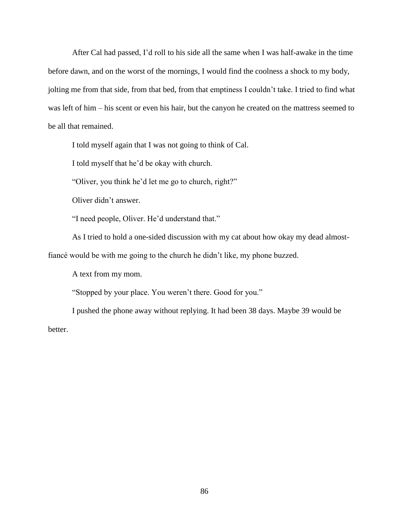After Cal had passed, I'd roll to his side all the same when I was half-awake in the time before dawn, and on the worst of the mornings, I would find the coolness a shock to my body, jolting me from that side, from that bed, from that emptiness I couldn't take. I tried to find what was left of him – his scent or even his hair, but the canyon he created on the mattress seemed to be all that remained.

I told myself again that I was not going to think of Cal.

I told myself that he'd be okay with church.

"Oliver, you think he'd let me go to church, right?"

Oliver didn't answer.

"I need people, Oliver. He'd understand that."

As I tried to hold a one-sided discussion with my cat about how okay my dead almost-

fiancé would be with me going to the church he didn't like, my phone buzzed.

A text from my mom.

"Stopped by your place. You weren't there. Good for you."

I pushed the phone away without replying. It had been 38 days. Maybe 39 would be better.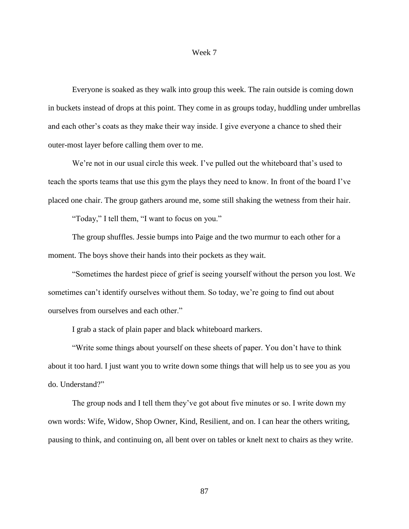### Week 7

Everyone is soaked as they walk into group this week. The rain outside is coming down in buckets instead of drops at this point. They come in as groups today, huddling under umbrellas and each other's coats as they make their way inside. I give everyone a chance to shed their outer-most layer before calling them over to me.

We're not in our usual circle this week. I've pulled out the whiteboard that's used to teach the sports teams that use this gym the plays they need to know. In front of the board I've placed one chair. The group gathers around me, some still shaking the wetness from their hair.

"Today," I tell them, "I want to focus on you."

The group shuffles. Jessie bumps into Paige and the two murmur to each other for a moment. The boys shove their hands into their pockets as they wait.

"Sometimes the hardest piece of grief is seeing yourself without the person you lost. We sometimes can't identify ourselves without them. So today, we're going to find out about ourselves from ourselves and each other."

I grab a stack of plain paper and black whiteboard markers.

"Write some things about yourself on these sheets of paper. You don't have to think about it too hard. I just want you to write down some things that will help us to see you as you do. Understand?"

The group nods and I tell them they've got about five minutes or so. I write down my own words: Wife, Widow, Shop Owner, Kind, Resilient, and on. I can hear the others writing, pausing to think, and continuing on, all bent over on tables or knelt next to chairs as they write.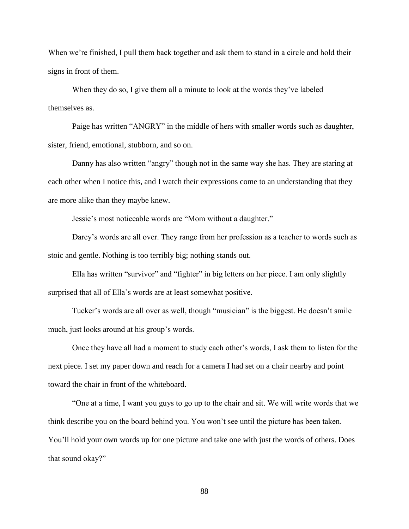When we're finished, I pull them back together and ask them to stand in a circle and hold their signs in front of them.

When they do so, I give them all a minute to look at the words they've labeled themselves as.

Paige has written "ANGRY" in the middle of hers with smaller words such as daughter, sister, friend, emotional, stubborn, and so on.

Danny has also written "angry" though not in the same way she has. They are staring at each other when I notice this, and I watch their expressions come to an understanding that they are more alike than they maybe knew.

Jessie's most noticeable words are "Mom without a daughter."

Darcy's words are all over. They range from her profession as a teacher to words such as stoic and gentle. Nothing is too terribly big; nothing stands out.

Ella has written "survivor" and "fighter" in big letters on her piece. I am only slightly surprised that all of Ella's words are at least somewhat positive.

Tucker's words are all over as well, though "musician" is the biggest. He doesn't smile much, just looks around at his group's words.

Once they have all had a moment to study each other's words, I ask them to listen for the next piece. I set my paper down and reach for a camera I had set on a chair nearby and point toward the chair in front of the whiteboard.

"One at a time, I want you guys to go up to the chair and sit. We will write words that we think describe you on the board behind you. You won't see until the picture has been taken. You'll hold your own words up for one picture and take one with just the words of others. Does that sound okay?"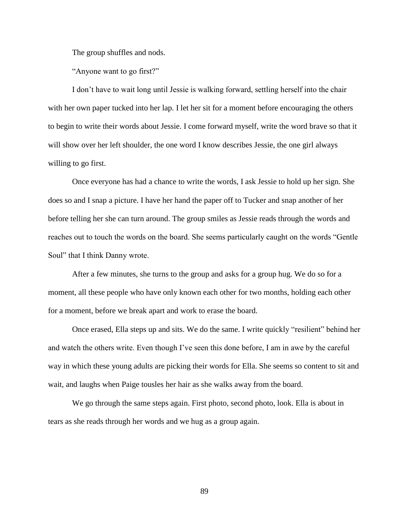The group shuffles and nods.

"Anyone want to go first?"

I don't have to wait long until Jessie is walking forward, settling herself into the chair with her own paper tucked into her lap. I let her sit for a moment before encouraging the others to begin to write their words about Jessie. I come forward myself, write the word brave so that it will show over her left shoulder, the one word I know describes Jessie, the one girl always willing to go first.

Once everyone has had a chance to write the words, I ask Jessie to hold up her sign. She does so and I snap a picture. I have her hand the paper off to Tucker and snap another of her before telling her she can turn around. The group smiles as Jessie reads through the words and reaches out to touch the words on the board. She seems particularly caught on the words "Gentle Soul" that I think Danny wrote.

After a few minutes, she turns to the group and asks for a group hug. We do so for a moment, all these people who have only known each other for two months, holding each other for a moment, before we break apart and work to erase the board.

Once erased, Ella steps up and sits. We do the same. I write quickly "resilient" behind her and watch the others write. Even though I've seen this done before, I am in awe by the careful way in which these young adults are picking their words for Ella. She seems so content to sit and wait, and laughs when Paige tousles her hair as she walks away from the board.

We go through the same steps again. First photo, second photo, look. Ella is about in tears as she reads through her words and we hug as a group again.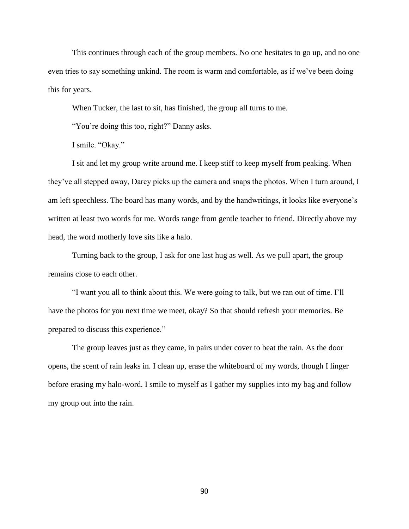This continues through each of the group members. No one hesitates to go up, and no one even tries to say something unkind. The room is warm and comfortable, as if we've been doing this for years.

When Tucker, the last to sit, has finished, the group all turns to me.

"You're doing this too, right?" Danny asks.

I smile. "Okay."

I sit and let my group write around me. I keep stiff to keep myself from peaking. When they've all stepped away, Darcy picks up the camera and snaps the photos. When I turn around, I am left speechless. The board has many words, and by the handwritings, it looks like everyone's written at least two words for me. Words range from gentle teacher to friend. Directly above my head, the word motherly love sits like a halo.

Turning back to the group, I ask for one last hug as well. As we pull apart, the group remains close to each other.

"I want you all to think about this. We were going to talk, but we ran out of time. I'll have the photos for you next time we meet, okay? So that should refresh your memories. Be prepared to discuss this experience."

The group leaves just as they came, in pairs under cover to beat the rain. As the door opens, the scent of rain leaks in. I clean up, erase the whiteboard of my words, though I linger before erasing my halo-word. I smile to myself as I gather my supplies into my bag and follow my group out into the rain.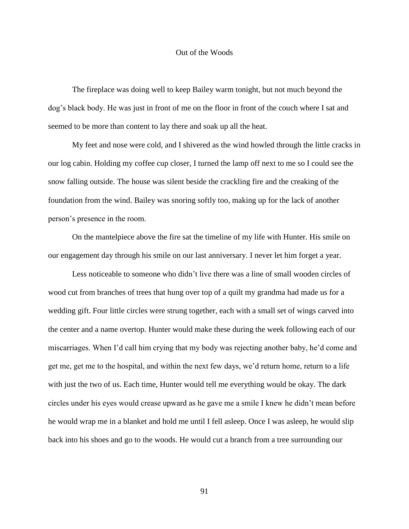## Out of the Woods

The fireplace was doing well to keep Bailey warm tonight, but not much beyond the dog's black body. He was just in front of me on the floor in front of the couch where I sat and seemed to be more than content to lay there and soak up all the heat.

My feet and nose were cold, and I shivered as the wind howled through the little cracks in our log cabin. Holding my coffee cup closer, I turned the lamp off next to me so I could see the snow falling outside. The house was silent beside the crackling fire and the creaking of the foundation from the wind. Bailey was snoring softly too, making up for the lack of another person's presence in the room.

On the mantelpiece above the fire sat the timeline of my life with Hunter. His smile on our engagement day through his smile on our last anniversary. I never let him forget a year.

Less noticeable to someone who didn't live there was a line of small wooden circles of wood cut from branches of trees that hung over top of a quilt my grandma had made us for a wedding gift. Four little circles were strung together, each with a small set of wings carved into the center and a name overtop. Hunter would make these during the week following each of our miscarriages. When I'd call him crying that my body was rejecting another baby, he'd come and get me, get me to the hospital, and within the next few days, we'd return home, return to a life with just the two of us. Each time, Hunter would tell me everything would be okay. The dark circles under his eyes would crease upward as he gave me a smile I knew he didn't mean before he would wrap me in a blanket and hold me until I fell asleep. Once I was asleep, he would slip back into his shoes and go to the woods. He would cut a branch from a tree surrounding our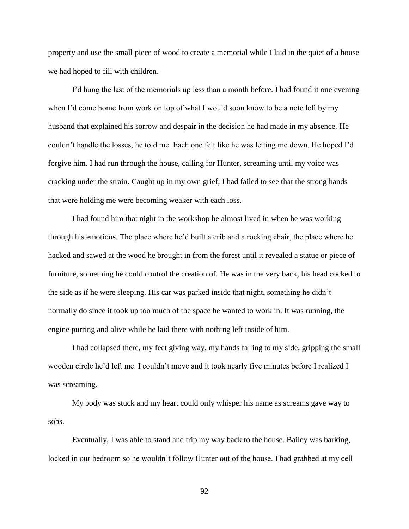property and use the small piece of wood to create a memorial while I laid in the quiet of a house we had hoped to fill with children.

I'd hung the last of the memorials up less than a month before. I had found it one evening when I'd come home from work on top of what I would soon know to be a note left by my husband that explained his sorrow and despair in the decision he had made in my absence. He couldn't handle the losses, he told me. Each one felt like he was letting me down. He hoped I'd forgive him. I had run through the house, calling for Hunter, screaming until my voice was cracking under the strain. Caught up in my own grief, I had failed to see that the strong hands that were holding me were becoming weaker with each loss.

I had found him that night in the workshop he almost lived in when he was working through his emotions. The place where he'd built a crib and a rocking chair, the place where he hacked and sawed at the wood he brought in from the forest until it revealed a statue or piece of furniture, something he could control the creation of. He was in the very back, his head cocked to the side as if he were sleeping. His car was parked inside that night, something he didn't normally do since it took up too much of the space he wanted to work in. It was running, the engine purring and alive while he laid there with nothing left inside of him.

I had collapsed there, my feet giving way, my hands falling to my side, gripping the small wooden circle he'd left me. I couldn't move and it took nearly five minutes before I realized I was screaming.

My body was stuck and my heart could only whisper his name as screams gave way to sobs.

Eventually, I was able to stand and trip my way back to the house. Bailey was barking, locked in our bedroom so he wouldn't follow Hunter out of the house. I had grabbed at my cell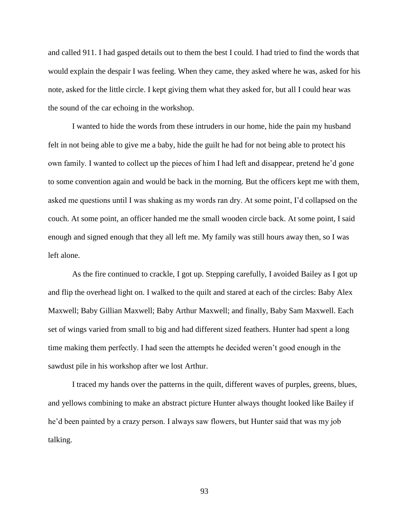and called 911. I had gasped details out to them the best I could. I had tried to find the words that would explain the despair I was feeling. When they came, they asked where he was, asked for his note, asked for the little circle. I kept giving them what they asked for, but all I could hear was the sound of the car echoing in the workshop.

I wanted to hide the words from these intruders in our home, hide the pain my husband felt in not being able to give me a baby, hide the guilt he had for not being able to protect his own family. I wanted to collect up the pieces of him I had left and disappear, pretend he'd gone to some convention again and would be back in the morning. But the officers kept me with them, asked me questions until I was shaking as my words ran dry. At some point, I'd collapsed on the couch. At some point, an officer handed me the small wooden circle back. At some point, I said enough and signed enough that they all left me. My family was still hours away then, so I was left alone.

As the fire continued to crackle, I got up. Stepping carefully, I avoided Bailey as I got up and flip the overhead light on. I walked to the quilt and stared at each of the circles: Baby Alex Maxwell; Baby Gillian Maxwell; Baby Arthur Maxwell; and finally, Baby Sam Maxwell. Each set of wings varied from small to big and had different sized feathers. Hunter had spent a long time making them perfectly. I had seen the attempts he decided weren't good enough in the sawdust pile in his workshop after we lost Arthur.

I traced my hands over the patterns in the quilt, different waves of purples, greens, blues, and yellows combining to make an abstract picture Hunter always thought looked like Bailey if he'd been painted by a crazy person. I always saw flowers, but Hunter said that was my job talking.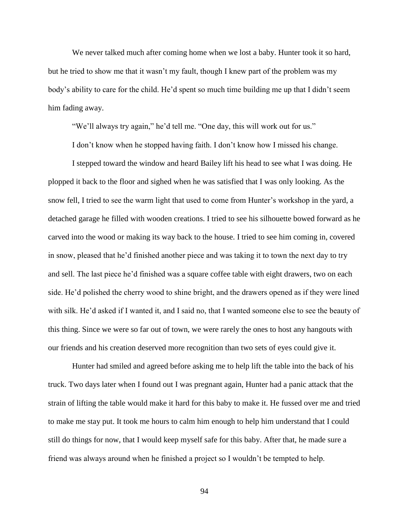We never talked much after coming home when we lost a baby. Hunter took it so hard, but he tried to show me that it wasn't my fault, though I knew part of the problem was my body's ability to care for the child. He'd spent so much time building me up that I didn't seem him fading away.

"We'll always try again," he'd tell me. "One day, this will work out for us."

I don't know when he stopped having faith. I don't know how I missed his change.

I stepped toward the window and heard Bailey lift his head to see what I was doing. He plopped it back to the floor and sighed when he was satisfied that I was only looking. As the snow fell, I tried to see the warm light that used to come from Hunter's workshop in the yard, a detached garage he filled with wooden creations. I tried to see his silhouette bowed forward as he carved into the wood or making its way back to the house. I tried to see him coming in, covered in snow, pleased that he'd finished another piece and was taking it to town the next day to try and sell. The last piece he'd finished was a square coffee table with eight drawers, two on each side. He'd polished the cherry wood to shine bright, and the drawers opened as if they were lined with silk. He'd asked if I wanted it, and I said no, that I wanted someone else to see the beauty of this thing. Since we were so far out of town, we were rarely the ones to host any hangouts with our friends and his creation deserved more recognition than two sets of eyes could give it.

Hunter had smiled and agreed before asking me to help lift the table into the back of his truck. Two days later when I found out I was pregnant again, Hunter had a panic attack that the strain of lifting the table would make it hard for this baby to make it. He fussed over me and tried to make me stay put. It took me hours to calm him enough to help him understand that I could still do things for now, that I would keep myself safe for this baby. After that, he made sure a friend was always around when he finished a project so I wouldn't be tempted to help.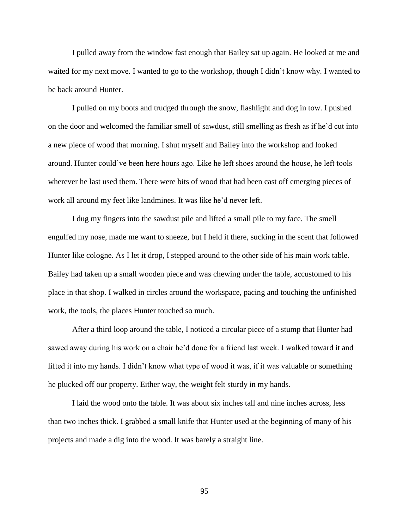I pulled away from the window fast enough that Bailey sat up again. He looked at me and waited for my next move. I wanted to go to the workshop, though I didn't know why. I wanted to be back around Hunter.

I pulled on my boots and trudged through the snow, flashlight and dog in tow. I pushed on the door and welcomed the familiar smell of sawdust, still smelling as fresh as if he'd cut into a new piece of wood that morning. I shut myself and Bailey into the workshop and looked around. Hunter could've been here hours ago. Like he left shoes around the house, he left tools wherever he last used them. There were bits of wood that had been cast off emerging pieces of work all around my feet like landmines. It was like he'd never left.

I dug my fingers into the sawdust pile and lifted a small pile to my face. The smell engulfed my nose, made me want to sneeze, but I held it there, sucking in the scent that followed Hunter like cologne. As I let it drop, I stepped around to the other side of his main work table. Bailey had taken up a small wooden piece and was chewing under the table, accustomed to his place in that shop. I walked in circles around the workspace, pacing and touching the unfinished work, the tools, the places Hunter touched so much.

After a third loop around the table, I noticed a circular piece of a stump that Hunter had sawed away during his work on a chair he'd done for a friend last week. I walked toward it and lifted it into my hands. I didn't know what type of wood it was, if it was valuable or something he plucked off our property. Either way, the weight felt sturdy in my hands.

I laid the wood onto the table. It was about six inches tall and nine inches across, less than two inches thick. I grabbed a small knife that Hunter used at the beginning of many of his projects and made a dig into the wood. It was barely a straight line.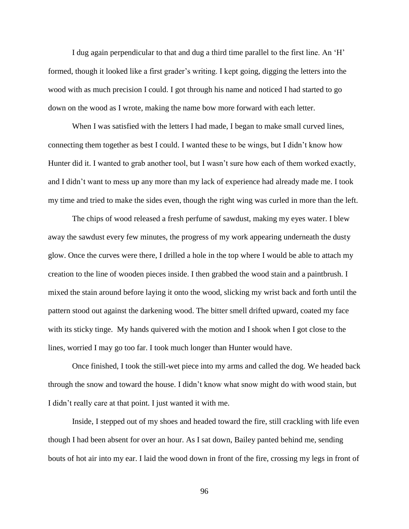I dug again perpendicular to that and dug a third time parallel to the first line. An 'H' formed, though it looked like a first grader's writing. I kept going, digging the letters into the wood with as much precision I could. I got through his name and noticed I had started to go down on the wood as I wrote, making the name bow more forward with each letter.

When I was satisfied with the letters I had made, I began to make small curved lines, connecting them together as best I could. I wanted these to be wings, but I didn't know how Hunter did it. I wanted to grab another tool, but I wasn't sure how each of them worked exactly, and I didn't want to mess up any more than my lack of experience had already made me. I took my time and tried to make the sides even, though the right wing was curled in more than the left.

The chips of wood released a fresh perfume of sawdust, making my eyes water. I blew away the sawdust every few minutes, the progress of my work appearing underneath the dusty glow. Once the curves were there, I drilled a hole in the top where I would be able to attach my creation to the line of wooden pieces inside. I then grabbed the wood stain and a paintbrush. I mixed the stain around before laying it onto the wood, slicking my wrist back and forth until the pattern stood out against the darkening wood. The bitter smell drifted upward, coated my face with its sticky tinge. My hands quivered with the motion and I shook when I got close to the lines, worried I may go too far. I took much longer than Hunter would have.

Once finished, I took the still-wet piece into my arms and called the dog. We headed back through the snow and toward the house. I didn't know what snow might do with wood stain, but I didn't really care at that point. I just wanted it with me.

Inside, I stepped out of my shoes and headed toward the fire, still crackling with life even though I had been absent for over an hour. As I sat down, Bailey panted behind me, sending bouts of hot air into my ear. I laid the wood down in front of the fire, crossing my legs in front of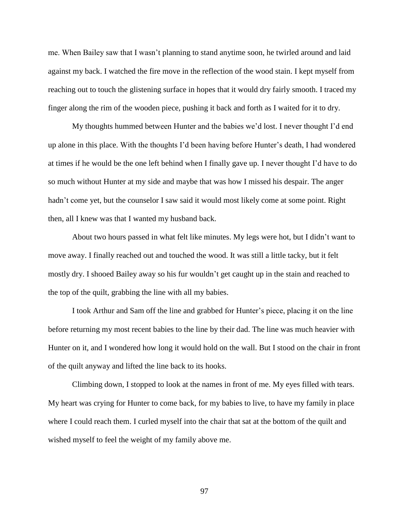me. When Bailey saw that I wasn't planning to stand anytime soon, he twirled around and laid against my back. I watched the fire move in the reflection of the wood stain. I kept myself from reaching out to touch the glistening surface in hopes that it would dry fairly smooth. I traced my finger along the rim of the wooden piece, pushing it back and forth as I waited for it to dry.

My thoughts hummed between Hunter and the babies we'd lost. I never thought I'd end up alone in this place. With the thoughts I'd been having before Hunter's death, I had wondered at times if he would be the one left behind when I finally gave up. I never thought I'd have to do so much without Hunter at my side and maybe that was how I missed his despair. The anger hadn't come yet, but the counselor I saw said it would most likely come at some point. Right then, all I knew was that I wanted my husband back.

About two hours passed in what felt like minutes. My legs were hot, but I didn't want to move away. I finally reached out and touched the wood. It was still a little tacky, but it felt mostly dry. I shooed Bailey away so his fur wouldn't get caught up in the stain and reached to the top of the quilt, grabbing the line with all my babies.

I took Arthur and Sam off the line and grabbed for Hunter's piece, placing it on the line before returning my most recent babies to the line by their dad. The line was much heavier with Hunter on it, and I wondered how long it would hold on the wall. But I stood on the chair in front of the quilt anyway and lifted the line back to its hooks.

Climbing down, I stopped to look at the names in front of me. My eyes filled with tears. My heart was crying for Hunter to come back, for my babies to live, to have my family in place where I could reach them. I curled myself into the chair that sat at the bottom of the quilt and wished myself to feel the weight of my family above me.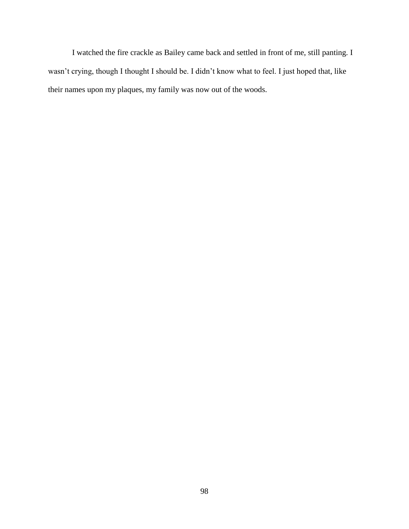I watched the fire crackle as Bailey came back and settled in front of me, still panting. I wasn't crying, though I thought I should be. I didn't know what to feel. I just hoped that, like their names upon my plaques, my family was now out of the woods.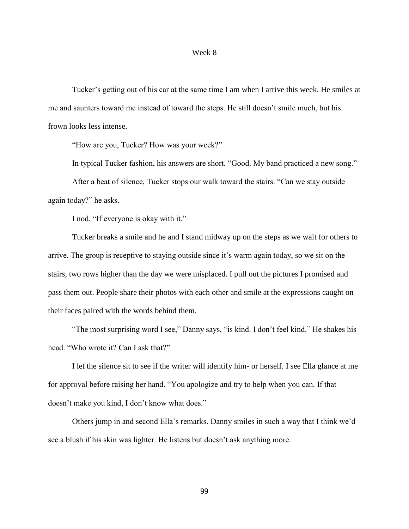### Week 8

Tucker's getting out of his car at the same time I am when I arrive this week. He smiles at me and saunters toward me instead of toward the steps. He still doesn't smile much, but his frown looks less intense.

"How are you, Tucker? How was your week?"

In typical Tucker fashion, his answers are short. "Good. My band practiced a new song."

After a beat of silence, Tucker stops our walk toward the stairs. "Can we stay outside again today?" he asks.

I nod. "If everyone is okay with it."

Tucker breaks a smile and he and I stand midway up on the steps as we wait for others to arrive. The group is receptive to staying outside since it's warm again today, so we sit on the stairs, two rows higher than the day we were misplaced. I pull out the pictures I promised and pass them out. People share their photos with each other and smile at the expressions caught on their faces paired with the words behind them.

"The most surprising word I see," Danny says, "is kind. I don't feel kind." He shakes his head. "Who wrote it? Can I ask that?"

I let the silence sit to see if the writer will identify him- or herself. I see Ella glance at me for approval before raising her hand. "You apologize and try to help when you can. If that doesn't make you kind, I don't know what does."

Others jump in and second Ella's remarks. Danny smiles in such a way that I think we'd see a blush if his skin was lighter. He listens but doesn't ask anything more.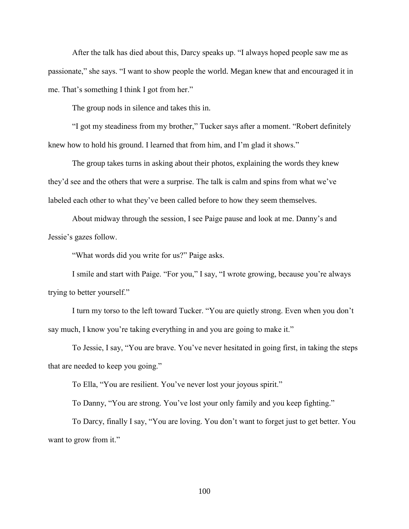After the talk has died about this, Darcy speaks up. "I always hoped people saw me as passionate," she says. "I want to show people the world. Megan knew that and encouraged it in me. That's something I think I got from her."

The group nods in silence and takes this in.

"I got my steadiness from my brother," Tucker says after a moment. "Robert definitely knew how to hold his ground. I learned that from him, and I'm glad it shows."

The group takes turns in asking about their photos, explaining the words they knew they'd see and the others that were a surprise. The talk is calm and spins from what we've labeled each other to what they've been called before to how they seem themselves.

About midway through the session, I see Paige pause and look at me. Danny's and Jessie's gazes follow.

"What words did you write for us?" Paige asks.

I smile and start with Paige. "For you," I say, "I wrote growing, because you're always trying to better yourself."

I turn my torso to the left toward Tucker. "You are quietly strong. Even when you don't say much, I know you're taking everything in and you are going to make it."

To Jessie, I say, "You are brave. You've never hesitated in going first, in taking the steps that are needed to keep you going."

To Ella, "You are resilient. You've never lost your joyous spirit."

To Danny, "You are strong. You've lost your only family and you keep fighting."

To Darcy, finally I say, "You are loving. You don't want to forget just to get better. You want to grow from it."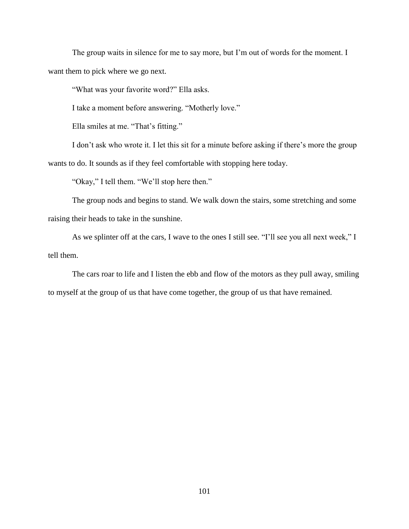The group waits in silence for me to say more, but I'm out of words for the moment. I want them to pick where we go next.

"What was your favorite word?" Ella asks.

I take a moment before answering. "Motherly love."

Ella smiles at me. "That's fitting."

I don't ask who wrote it. I let this sit for a minute before asking if there's more the group wants to do. It sounds as if they feel comfortable with stopping here today.

"Okay," I tell them. "We'll stop here then."

The group nods and begins to stand. We walk down the stairs, some stretching and some raising their heads to take in the sunshine.

As we splinter off at the cars, I wave to the ones I still see. "I'll see you all next week," I tell them.

The cars roar to life and I listen the ebb and flow of the motors as they pull away, smiling to myself at the group of us that have come together, the group of us that have remained.